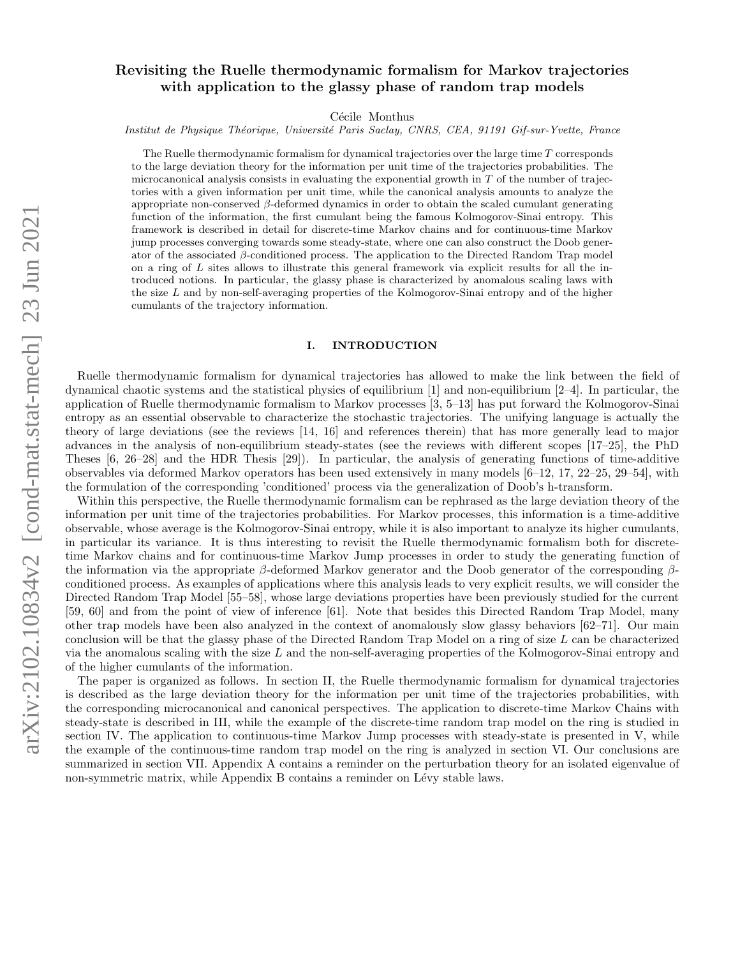# Revisiting the Ruelle thermodynamic formalism for Markov trajectories with application to the glassy phase of random trap models

Cécile Monthus

Institut de Physique Théorique, Université Paris Saclay, CNRS, CEA, 91191 Gif-sur-Yvette, France

The Ruelle thermodynamic formalism for dynamical trajectories over the large time T corresponds to the large deviation theory for the information per unit time of the trajectories probabilities. The microcanonical analysis consists in evaluating the exponential growth in  $T$  of the number of trajectories with a given information per unit time, while the canonical analysis amounts to analyze the appropriate non-conserved β-deformed dynamics in order to obtain the scaled cumulant generating function of the information, the first cumulant being the famous Kolmogorov-Sinai entropy. This framework is described in detail for discrete-time Markov chains and for continuous-time Markov jump processes converging towards some steady-state, where one can also construct the Doob generator of the associated β-conditioned process. The application to the Directed Random Trap model on a ring of L sites allows to illustrate this general framework via explicit results for all the introduced notions. In particular, the glassy phase is characterized by anomalous scaling laws with the size L and by non-self-averaging properties of the Kolmogorov-Sinai entropy and of the higher cumulants of the trajectory information.

#### I. INTRODUCTION

Ruelle thermodynamic formalism for dynamical trajectories has allowed to make the link between the field of dynamical chaotic systems and the statistical physics of equilibrium [1] and non-equilibrium [2–4]. In particular, the application of Ruelle thermodynamic formalism to Markov processes [3, 5–13] has put forward the Kolmogorov-Sinai entropy as an essential observable to characterize the stochastic trajectories. The unifying language is actually the theory of large deviations (see the reviews [14, 16] and references therein) that has more generally lead to major advances in the analysis of non-equilibrium steady-states (see the reviews with different scopes [17–25], the PhD Theses [6, 26–28] and the HDR Thesis [29]). In particular, the analysis of generating functions of time-additive observables via deformed Markov operators has been used extensively in many models [6–12, 17, 22–25, 29–54], with the formulation of the corresponding 'conditioned' process via the generalization of Doob's h-transform.

Within this perspective, the Ruelle thermodynamic formalism can be rephrased as the large deviation theory of the information per unit time of the trajectories probabilities. For Markov processes, this information is a time-additive observable, whose average is the Kolmogorov-Sinai entropy, while it is also important to analyze its higher cumulants, in particular its variance. It is thus interesting to revisit the Ruelle thermodynamic formalism both for discretetime Markov chains and for continuous-time Markov Jump processes in order to study the generating function of the information via the appropriate  $\beta$ -deformed Markov generator and the Doob generator of the corresponding  $\beta$ conditioned process. As examples of applications where this analysis leads to very explicit results, we will consider the Directed Random Trap Model [55–58], whose large deviations properties have been previously studied for the current [59, 60] and from the point of view of inference [61]. Note that besides this Directed Random Trap Model, many other trap models have been also analyzed in the context of anomalously slow glassy behaviors [62–71]. Our main conclusion will be that the glassy phase of the Directed Random Trap Model on a ring of size L can be characterized via the anomalous scaling with the size L and the non-self-averaging properties of the Kolmogorov-Sinai entropy and of the higher cumulants of the information.

The paper is organized as follows. In section II, the Ruelle thermodynamic formalism for dynamical trajectories is described as the large deviation theory for the information per unit time of the trajectories probabilities, with the corresponding microcanonical and canonical perspectives. The application to discrete-time Markov Chains with steady-state is described in III, while the example of the discrete-time random trap model on the ring is studied in section IV. The application to continuous-time Markov Jump processes with steady-state is presented in V, while the example of the continuous-time random trap model on the ring is analyzed in section VI. Our conclusions are summarized in section VII. Appendix A contains a reminder on the perturbation theory for an isolated eigenvalue of non-symmetric matrix, while Appendix B contains a reminder on Lévy stable laws.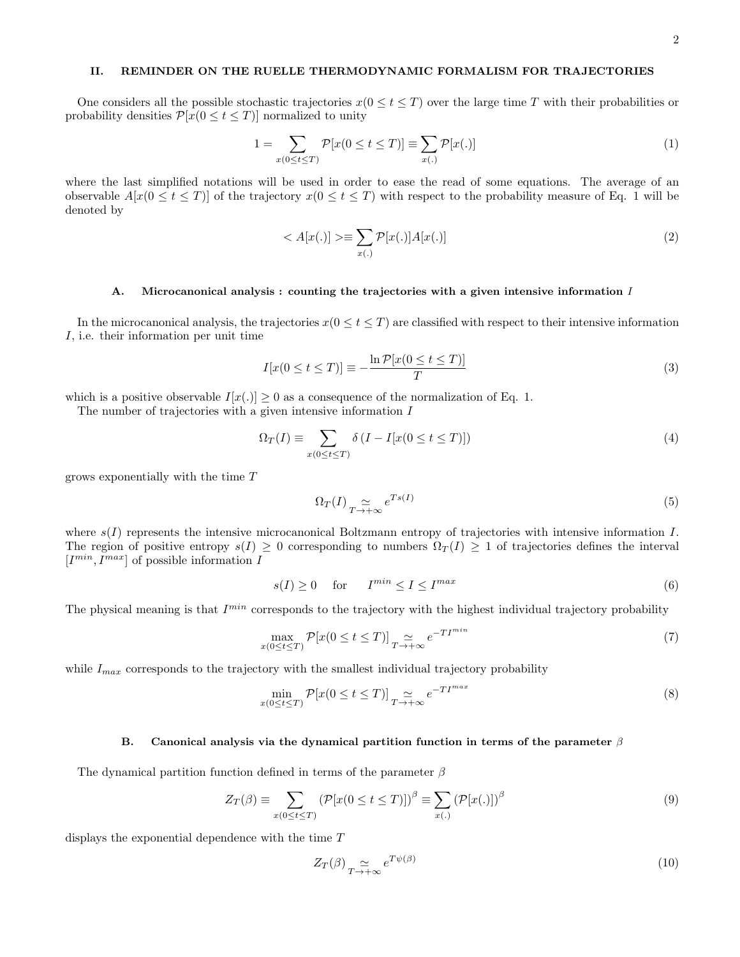# II. REMINDER ON THE RUELLE THERMODYNAMIC FORMALISM FOR TRAJECTORIES

One considers all the possible stochastic trajectories  $x(0 \le t \le T)$  over the large time T with their probabilities or probability densities  $\mathcal{P}[x(0 \le t \le T)]$  normalized to unity

$$
1 = \sum_{x(0 \le t \le T)} \mathcal{P}[x(0 \le t \le T)] \equiv \sum_{x(.)} \mathcal{P}[x(.)]
$$
\n
$$
(1)
$$

where the last simplified notations will be used in order to ease the read of some equations. The average of an observable  $A[x(0 \le t \le T)]$  of the trajectory  $x(0 \le t \le T)$  with respect to the probability measure of Eq. 1 will be denoted by

$$
\langle A[x(.)] \rangle \equiv \sum_{x(.)} \mathcal{P}[x(.)] A[x(.)] \tag{2}
$$

#### A. Microcanonical analysis : counting the trajectories with a given intensive information I

In the microcanonical analysis, the trajectories  $x(0 \le t \le T)$  are classified with respect to their intensive information I, i.e. their information per unit time

$$
I[x(0 \le t \le T)] \equiv -\frac{\ln \mathcal{P}[x(0 \le t \le T)]}{T}
$$
\n(3)

which is a positive observable  $I[x(.)] \geq 0$  as a consequence of the normalization of Eq. 1.

The number of trajectories with a given intensive information I

$$
\Omega_T(I) \equiv \sum_{x(0 \le t \le T)} \delta(I - I[x(0 \le t \le T)]) \tag{4}
$$

grows exponentially with the time T

$$
\Omega_T(I) \underset{T \to +\infty}{\simeq} e^{Ts(I)} \tag{5}
$$

where  $s(I)$  represents the intensive microcanonical Boltzmann entropy of trajectories with intensive information I. The region of positive entropy  $s(I) \geq 0$  corresponding to numbers  $\Omega_T(I) \geq 1$  of trajectories defines the interval  $[I^{min}, I^{max}]$  of possible information I

$$
s(I) \ge 0 \quad \text{for} \quad I^{\min} \le I \le I^{\max} \tag{6}
$$

The physical meaning is that  $I^{min}$  corresponds to the trajectory with the highest individual trajectory probability

$$
\max_{x(0 \le t \le T)} \mathcal{P}[x(0 \le t \le T)] \underset{T \to +\infty}{\simeq} e^{-T I^{min}} \tag{7}
$$

while  $I_{max}$  corresponds to the trajectory with the smallest individual trajectory probability

$$
\min_{x(0 \le t \le T)} \mathcal{P}[x(0 \le t \le T)] \underset{T \to +\infty}{\simeq} e^{-T I^{max}} \tag{8}
$$

#### B. Canonical analysis via the dynamical partition function in terms of the parameter  $\beta$

The dynamical partition function defined in terms of the parameter  $\beta$ 

$$
Z_T(\beta) \equiv \sum_{x(0 \le t \le T)} \left( \mathcal{P}[x(0 \le t \le T)] \right)^{\beta} \equiv \sum_{x(.)} \left( \mathcal{P}[x(.)] \right)^{\beta}
$$
(9)

displays the exponential dependence with the time T

$$
Z_T(\beta) \underset{T \to +\infty}{\simeq} e^{T\psi(\beta)} \tag{10}
$$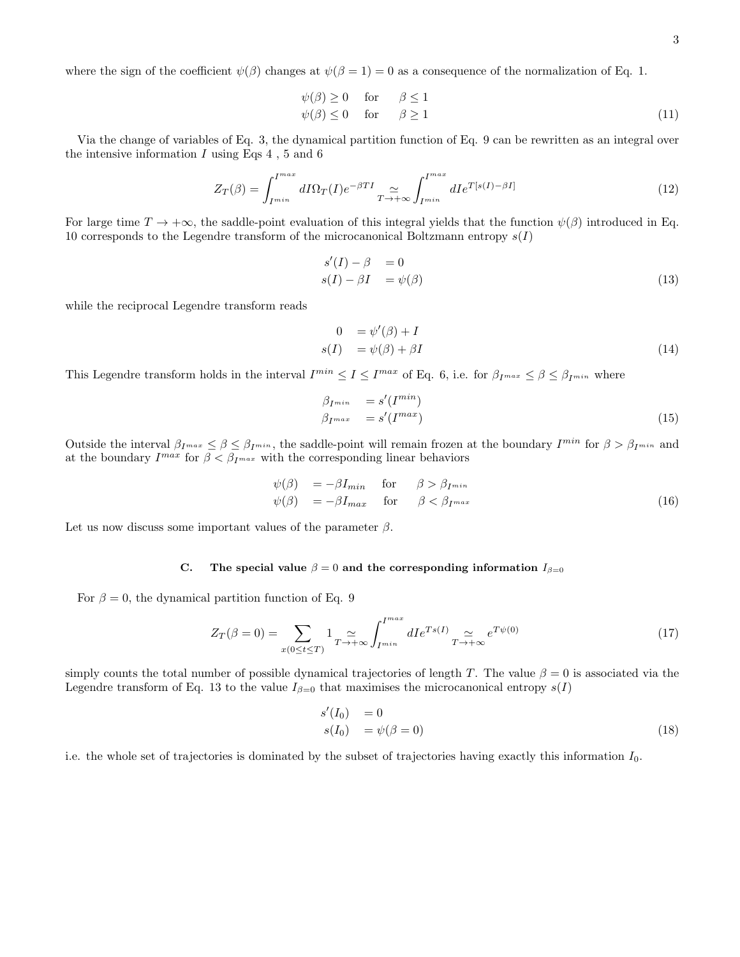where the sign of the coefficient  $\psi(\beta)$  changes at  $\psi(\beta = 1) = 0$  as a consequence of the normalization of Eq. 1.

$$
\psi(\beta) \ge 0 \quad \text{for} \quad \beta \le 1\n\psi(\beta) \le 0 \quad \text{for} \quad \beta \ge 1
$$
\n(11)

Via the change of variables of Eq. 3, the dynamical partition function of Eq. 9 can be rewritten as an integral over the intensive information  $I$  using Eqs 4, 5 and 6

$$
Z_T(\beta) = \int_{I^{min}}^{I^{max}} dI \Omega_T(I) e^{-\beta T I} \simeq \int_{I^{min}}^{I^{max}} dI e^{T[s(I) - \beta I]} \tag{12}
$$

For large time  $T \to +\infty$ , the saddle-point evaluation of this integral yields that the function  $\psi(\beta)$  introduced in Eq. 10 corresponds to the Legendre transform of the microcanonical Boltzmann entropy  $s({\cal I})$ 

$$
s'(I) - \beta = 0
$$
  
\n
$$
s(I) - \beta I = \psi(\beta)
$$
\n(13)

while the reciprocal Legendre transform reads

$$
0 = \psi'(\beta) + I
$$
  
\n
$$
s(I) = \psi(\beta) + \beta I
$$
\n(14)

This Legendre transform holds in the interval  $I^{min} \leq I \leq I^{max}$  of Eq. 6, i.e. for  $\beta_{I^{max}} \leq \beta \leq \beta_{I^{min}}$  where

$$
\beta_{I^{min}} = s'(I^{min})
$$
  
\n
$$
\beta_{I^{max}} = s'(I^{max})
$$
\n(15)

Outside the interval  $\beta_{I^{max}} \leq \beta \leq \beta_{I^{min}}$ , the saddle-point will remain frozen at the boundary  $I^{min}$  for  $\beta > \beta_{I^{min}}$  and at the boundary  $I^{max}$  for  $\beta < \beta_{I^{max}}$  with the corresponding linear behaviors

$$
\psi(\beta) = -\beta I_{min} \quad \text{for} \quad \beta > \beta_{I^{min}} \n\psi(\beta) = -\beta I_{max} \quad \text{for} \quad \beta < \beta_{I^{max}} \tag{16}
$$

Let us now discuss some important values of the parameter  $\beta$ .

#### C. The special value  $\beta = 0$  and the corresponding information  $I_{\beta=0}$

For  $\beta = 0$ , the dynamical partition function of Eq. 9

$$
Z_T(\beta = 0) = \sum_{x(0 \le t \le T)} 1_{T \to +\infty} \int_{I^{min}}^{I^{max}} dI e^{Ts(I)} \underset{T \to +\infty}{\simeq} e^{T\psi(0)} \tag{17}
$$

simply counts the total number of possible dynamical trajectories of length T. The value  $\beta = 0$  is associated via the Legendre transform of Eq. 13 to the value  $I_{\beta=0}$  that maximises the microcanonical entropy  $s(I)$ 

$$
s'(I_0) = 0
$$
  
\n
$$
s(I_0) = \psi(\beta = 0)
$$
\n(18)

i.e. the whole set of trajectories is dominated by the subset of trajectories having exactly this information  $I_0$ .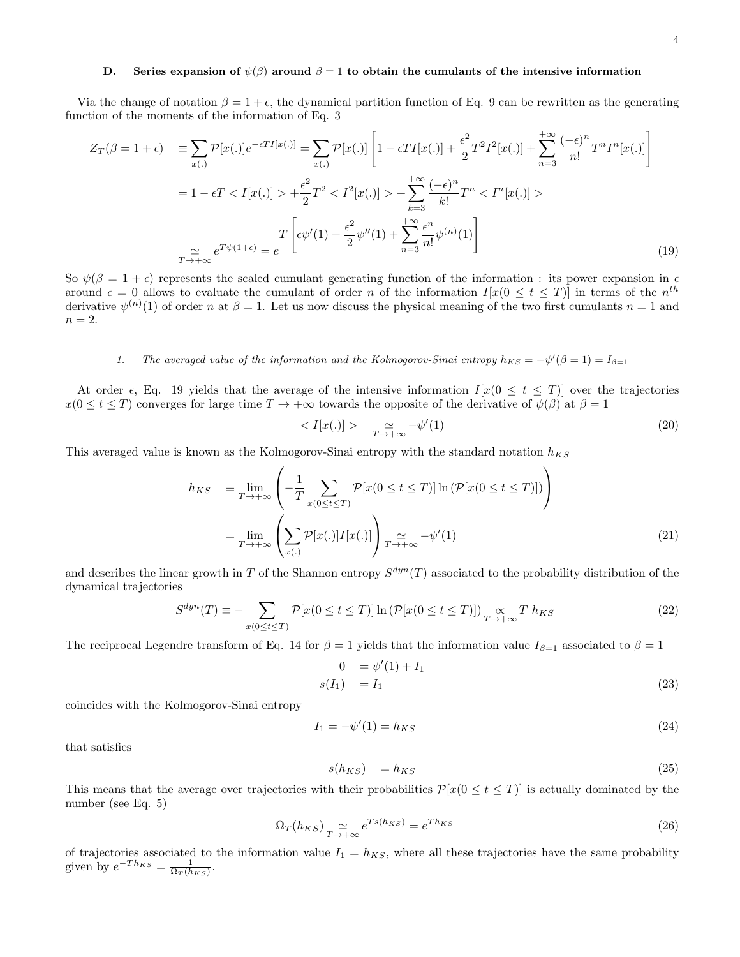### D. Series expansion of  $\psi(\beta)$  around  $\beta = 1$  to obtain the cumulants of the intensive information

Via the change of notation  $\beta = 1 + \epsilon$ , the dynamical partition function of Eq. 9 can be rewritten as the generating function of the moments of the information of Eq. 3

$$
Z_T(\beta = 1 + \epsilon) = \sum_{x(.)} \mathcal{P}[x(.)] e^{-\epsilon T I[x(.)]} = \sum_{x(.)} \mathcal{P}[x(.)] \left[ 1 - \epsilon T I[x(.)] + \frac{\epsilon^2}{2} T^2 I^2 [x(.)] + \sum_{n=3}^{+\infty} \frac{(-\epsilon)^n}{n!} T^n I^n [x(.)] \right]
$$
  

$$
= 1 - \epsilon T < I[x(.)] > + \frac{\epsilon^2}{2} T^2 < I^2[x(.)] > + \sum_{k=3}^{+\infty} \frac{(-\epsilon)^n}{k!} T^n < I^n [x(.)] >
$$
  

$$
T \left[ \epsilon \psi'(1) + \frac{\epsilon^2}{2} \psi''(1) + \sum_{n=3}^{+\infty} \frac{\epsilon^n}{n!} \psi^{(n)}(1) \right]
$$
(19)

So  $\psi(\beta = 1 + \epsilon)$  represents the scaled cumulant generating function of the information : its power expansion in  $\epsilon$ around  $\epsilon = 0$  allows to evaluate the cumulant of order n of the information  $I[x(0 \le t \le T)]$  in terms of the  $n^{th}$ derivative  $\psi^{(n)}(1)$  of order n at  $\beta = 1$ . Let us now discuss the physical meaning of the two first cumulants  $n = 1$  and  $n=2$ .

# 1. The averaged value of the information and the Kolmogorov-Sinai entropy  $h_{KS} = -\psi'(\beta = 1) = I_{\beta=1}$

At order  $\epsilon$ , Eq. 19 yields that the average of the intensive information  $I[x(0 \leq t \leq T)]$  over the trajectories  $x(0 \le t \le T)$  converges for large time  $T \to +\infty$  towards the opposite of the derivative of  $\psi(\beta)$  at  $\beta = 1$ 

$$
\langle I[x(.)] \rangle \qquad \simeq \qquad \simeq \qquad \qquad (20)
$$

This averaged value is known as the Kolmogorov-Sinai entropy with the standard notation  $h_{KS}$ 

$$
h_{KS} \equiv \lim_{T \to +\infty} \left( -\frac{1}{T} \sum_{x(0 \le t \le T)} \mathcal{P}[x(0 \le t \le T)] \ln (\mathcal{P}[x(0 \le t \le T)]) \right)
$$

$$
= \lim_{T \to +\infty} \left( \sum_{x(.)} \mathcal{P}[x(.)] I[x(.)] \right) \underset{T \to +\infty}{\approx} -\psi'(1) \tag{21}
$$

and describes the linear growth in T of the Shannon entropy  $S^{dyn}(T)$  associated to the probability distribution of the dynamical trajectories

$$
S^{dyn}(T) \equiv -\sum_{x(0 \le t \le T)} \mathcal{P}[x(0 \le t \le T)] \ln (\mathcal{P}[x(0 \le t \le T)]) \underset{T \to +\infty}{\propto} T \ h_{KS} \tag{22}
$$

The reciprocal Legendre transform of Eq. 14 for  $\beta = 1$  yields that the information value  $I_{\beta=1}$  associated to  $\beta = 1$ 

$$
0 = \psi'(1) + I_1
$$
  
\n
$$
s(I_1) = I_1
$$
\n(23)

coincides with the Kolmogorov-Sinai entropy

$$
I_1 = -\psi'(1) = h_{KS} \tag{24}
$$

that satisfies

$$
s(h_{KS}) = h_{KS} \tag{25}
$$

This means that the average over trajectories with their probabilities  $\mathcal{P}[x(0 \leq t \leq T)]$  is actually dominated by the number (see Eq. 5)

$$
\Omega_T(h_{KS}) \underset{T \to +\infty}{\simeq} e^{Ts(h_{KS})} = e^{Th_{KS}} \tag{26}
$$

of trajectories associated to the information value  $I_1 = h_{KS}$ , where all these trajectories have the same probability given by  $e^{-Th_{KS}} = \frac{1}{\Omega_T(h_{KS})}$ .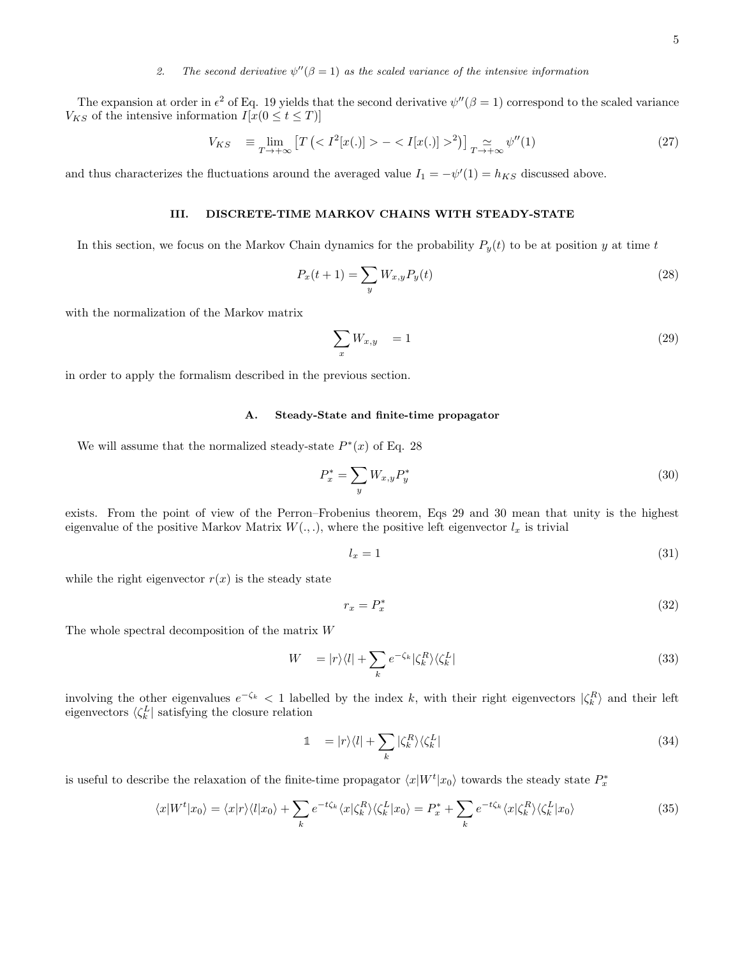# 2. The second derivative  $\psi''(\beta = 1)$  as the scaled variance of the intensive information

The expansion at order in  $\epsilon^2$  of Eq. 19 yields that the second derivative  $\psi''(\beta = 1)$  correspond to the scaled variance  $V_{KS}$  of the intensive information  $I[x(0 \le t \le T)]$ 

$$
V_{KS} \equiv \lim_{T \to +\infty} \left[ T \left( \langle I^2[x(.)] \rangle - \langle I[x(.)] \rangle^2 \right) \right]_{T \to +\infty} \sim \psi''(1) \tag{27}
$$

and thus characterizes the fluctuations around the averaged value  $I_1 = -\psi'(1) = h_{KS}$  discussed above.

#### III. DISCRETE-TIME MARKOV CHAINS WITH STEADY-STATE

In this section, we focus on the Markov Chain dynamics for the probability  $P_y(t)$  to be at position y at time t

$$
P_x(t+1) = \sum_{y} W_{x,y} P_y(t)
$$
 (28)

with the normalization of the Markov matrix

$$
\sum_{x} W_{x,y} = 1 \tag{29}
$$

in order to apply the formalism described in the previous section.

# A. Steady-State and finite-time propagator

We will assume that the normalized steady-state  $P^*(x)$  of Eq. 28

$$
P_x^* = \sum_y W_{x,y} P_y^*
$$
\n
$$
\tag{30}
$$

exists. From the point of view of the Perron–Frobenius theorem, Eqs 29 and 30 mean that unity is the highest eigenvalue of the positive Markov Matrix  $W(., .),$  where the positive left eigenvector  $l_x$  is trivial

$$
l_x = 1 \tag{31}
$$

while the right eigenvector  $r(x)$  is the steady state

$$
r_x = P_x^* \tag{32}
$$

The whole spectral decomposition of the matrix W

$$
W = |r\rangle\langle l| + \sum_{k} e^{-\zeta_k} |\zeta_k^R\rangle\langle\zeta_k^L|
$$
\n(33)

involving the other eigenvalues  $e^{-\zeta_k} < 1$  labelled by the index k, with their right eigenvectors  $|\zeta_k^R\rangle$  and their left eigenvectors  $\langle \zeta_k^L |$  satisfying the closure relation

$$
\mathbb{1} \quad = |r\rangle\langle l| + \sum_{k} |\zeta_{k}^{R}\rangle\langle\zeta_{k}^{L}| \tag{34}
$$

is useful to describe the relaxation of the finite-time propagator  $\langle x|W^t|x_0\rangle$  towards the steady state  $P_x^*$ 

$$
\langle x|W^t|x_0\rangle = \langle x|r\rangle\langle l|x_0\rangle + \sum_k e^{-t\zeta_k}\langle x|\zeta_k^R\rangle\langle\zeta_k^L|x_0\rangle = P_x^* + \sum_k e^{-t\zeta_k}\langle x|\zeta_k^R\rangle\langle\zeta_k^L|x_0\rangle
$$
\n(35)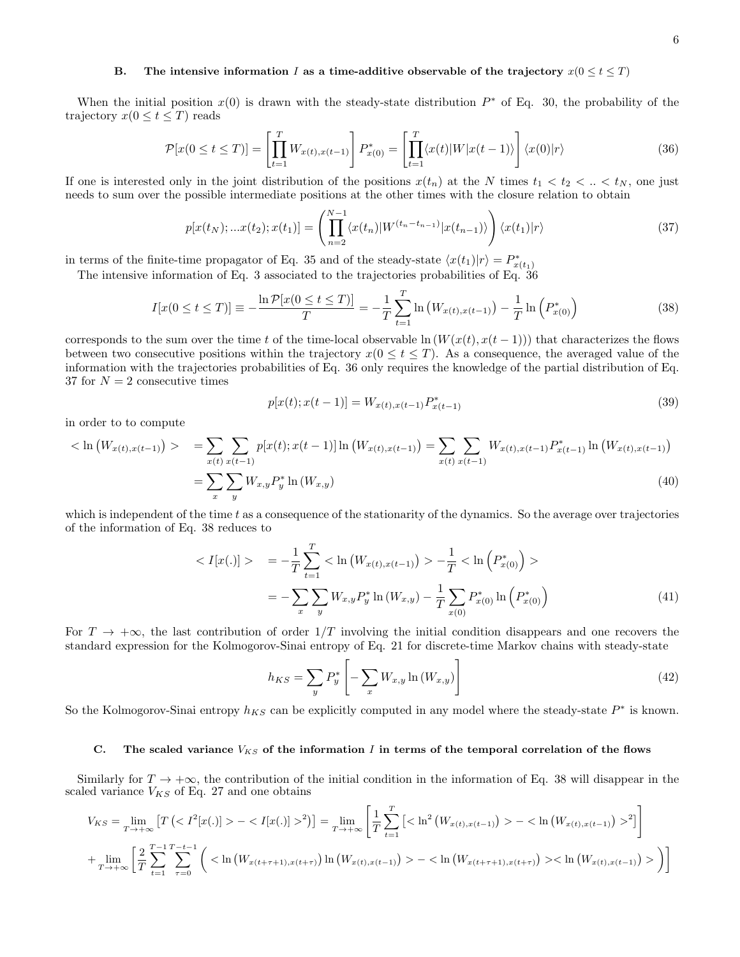## B. The intensive information I as a time-additive observable of the trajectory  $x(0 \le t \le T)$

When the initial position  $x(0)$  is drawn with the steady-state distribution  $P^*$  of Eq. 30, the probability of the trajectory  $x(0 \le t \le T)$  reads

$$
\mathcal{P}[x(0 \le t \le T)] = \left[\prod_{t=1}^{T} W_{x(t), x(t-1)}\right] P_{x(0)}^{*} = \left[\prod_{t=1}^{T} \langle x(t) | W | x(t-1) \rangle \right] \langle x(0) | r \rangle \tag{36}
$$

If one is interested only in the joint distribution of the positions  $x(t_n)$  at the N times  $t_1 < t_2 < \ldots < t_N$ , one just needs to sum over the possible intermediate positions at the other times with the closure relation to obtain

$$
p[x(t_N);...x(t_2);x(t_1)] = \left(\prod_{n=2}^{N-1} \langle x(t_n)|W^{(t_n-t_{n-1})}|x(t_{n-1})\rangle\right) \langle x(t_1)|r\rangle \tag{37}
$$

in terms of the finite-time propagator of Eq. 35 and of the steady-state  $\langle x(t_1)|r\rangle = P_{x(t_1)}^*$ 

The intensive information of Eq. 3 associated to the trajectories probabilities of Eq. 36

$$
I[x(0 \le t \le T)] \equiv -\frac{\ln \mathcal{P}[x(0 \le t \le T)]}{T} = -\frac{1}{T} \sum_{t=1}^{T} \ln \left( W_{x(t),x(t-1)} \right) - \frac{1}{T} \ln \left( P_{x(0)}^* \right) \tag{38}
$$

corresponds to the sum over the time t of the time-local observable ln  $(W(x(t), x(t-1)))$  that characterizes the flows between two consecutive positions within the trajectory  $x(0 \le t \le T)$ . As a consequence, the averaged value of the information with the trajectories probabilities of Eq. 36 only requires the knowledge of the partial distribution of Eq. 37 for  $N = 2$  consecutive times

$$
p[x(t); x(t-1)] = W_{x(t), x(t-1)} P_{x(t-1)}^*
$$
\n(39)

in order to to compute

$$
\langle \ln \left( W_{x(t),x(t-1)} \right) \rangle = \sum_{x(t)} \sum_{x(t)} p[x(t);x(t-1)] \ln \left( W_{x(t),x(t-1)} \right) = \sum_{x(t)} \sum_{x(t)} W_{x(t),x(t-1)} P_{x(t-1)}^* \ln \left( W_{x(t),x(t-1)} \right)
$$

$$
= \sum_{x} \sum_{y} W_{x,y} P_y^* \ln \left( W_{x,y} \right) \tag{40}
$$

which is independent of the time  $t$  as a consequence of the stationarity of the dynamics. So the average over trajectories of the information of Eq. 38 reduces to

$$
\langle I[x(.)] \rangle = -\frac{1}{T} \sum_{t=1}^{T} \langle \ln(W_{x(t),x(t-1)}) \rangle - \frac{1}{T} \langle \ln(P_{x(0)}^{*}) \rangle
$$

$$
= -\sum_{x} \sum_{y} W_{x,y} P_{y}^{*} \ln(W_{x,y}) - \frac{1}{T} \sum_{x(0)} P_{x(0)}^{*} \ln(P_{x(0)}^{*}) \tag{41}
$$

For  $T \to +\infty$ , the last contribution of order  $1/T$  involving the initial condition disappears and one recovers the standard expression for the Kolmogorov-Sinai entropy of Eq. 21 for discrete-time Markov chains with steady-state

$$
h_{KS} = \sum_{y} P_y^* \left[ -\sum_{x} W_{x,y} \ln \left( W_{x,y} \right) \right]
$$
\n
$$
\tag{42}
$$

So the Kolmogorov-Sinai entropy  $h_{KS}$  can be explicitly computed in any model where the steady-state  $P^*$  is known.

#### C. The scaled variance  $V_{KS}$  of the information I in terms of the temporal correlation of the flows

Similarly for  $T \to +\infty$ , the contribution of the initial condition in the information of Eq. 38 will disappear in the scaled variance  $V_{KS}$  of Eq. 27 and one obtains

$$
V_{KS} = \lim_{T \to +\infty} \left[ T \left( \langle I^2[x(.)] \rangle - \langle I[x(.)] \rangle^2 \right) \right] = \lim_{T \to +\infty} \left[ \frac{1}{T} \sum_{t=1}^T \left[ \langle \ln^2 \left( W_{x(t),x(t-1)} \right) \rangle - \langle \ln \left( W_{x(t),x(t-1)} \right) \rangle^2 \right] \right] + \lim_{T \to +\infty} \left[ \frac{2}{T} \sum_{t=1}^{T-1} \sum_{\tau=0}^{T-t-1} \left( \langle \ln \left( W_{x(t+\tau+1),x(t+\tau)} \right) \ln \left( W_{x(t),x(t-1)} \right) \rangle - \langle \ln \left( W_{x(t+\tau+1),x(t+\tau)} \right) \rangle \langle \ln \left( W_{x(t),x(t-1)} \right) \rangle \right) \right]
$$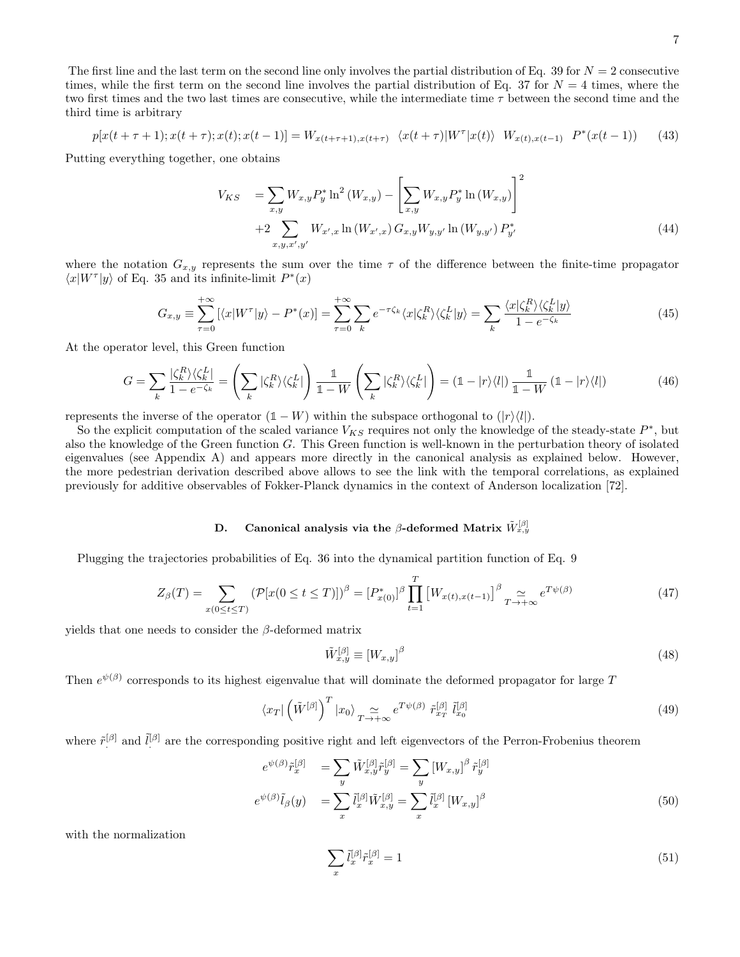$$
p[x(t+\tau+1);x(t+\tau);x(t);x(t-1)] = W_{x(t+\tau+1),x(t+\tau)} \langle x(t+\tau)|W^{\tau}|x(t)\rangle W_{x(t),x(t-1)} P^*(x(t-1)) \qquad (43)
$$

Putting everything together, one obtains

$$
V_{KS} = \sum_{x,y} W_{x,y} P_y^* \ln^2 (W_{x,y}) - \left[ \sum_{x,y} W_{x,y} P_y^* \ln (W_{x,y}) \right]^2
$$
  
+2
$$
\sum_{x,y,x',y'} W_{x',x} \ln (W_{x',x}) G_{x,y} W_{y,y'} \ln (W_{y,y'}) P_{y'}^*
$$
 (44)

where the notation  $G_{x,y}$  represents the sum over the time  $\tau$  of the difference between the finite-time propagator  $\langle x|W^{\tau}|y\rangle$  of Eq. 35 and its infinite-limit  $P^*(x)$ 

$$
G_{x,y} \equiv \sum_{\tau=0}^{+\infty} \left[ \langle x | W^{\tau} | y \rangle - P^*(x) \right] = \sum_{\tau=0}^{+\infty} \sum_{k} e^{-\tau \zeta_k} \langle x | \zeta_k^R \rangle \langle \zeta_k^L | y \rangle = \sum_{k} \frac{\langle x | \zeta_k^R \rangle \langle \zeta_k^L | y \rangle}{1 - e^{-\zeta_k}} \tag{45}
$$

At the operator level, this Green function

$$
G = \sum_{k} \frac{|\zeta_k^R\rangle\langle\zeta_k^L|}{1 - e^{-\zeta_k}} = \left(\sum_{k} |\zeta_k^R\rangle\langle\zeta_k^L|\right) \frac{\mathbb{1}}{\mathbb{1} - W} \left(\sum_{k} |\zeta_k^R\rangle\langle\zeta_k^L|\right) = \left(\mathbb{1} - |r\rangle\langle l|\right) \frac{\mathbb{1}}{\mathbb{1} - W} \left(\mathbb{1} - |r\rangle\langle l|\right) \tag{46}
$$

represents the inverse of the operator  $(1 - W)$  within the subspace orthogonal to  $(|r\rangle\langle l|)$ .

So the explicit computation of the scaled variance  $V_{KS}$  requires not only the knowledge of the steady-state  $P^*$ , but also the knowledge of the Green function  $G$ . This Green function is well-known in the perturbation theory of isolated eigenvalues (see Appendix A) and appears more directly in the canonical analysis as explained below. However, the more pedestrian derivation described above allows to see the link with the temporal correlations, as explained previously for additive observables of Fokker-Planck dynamics in the context of Anderson localization [72].

# D. Canonical analysis via the  $\beta$ -deformed Matrix  $\tilde{W}^{[\beta]}_{x,y}$

Plugging the trajectories probabilities of Eq. 36 into the dynamical partition function of Eq. 9

$$
Z_{\beta}(T) = \sum_{x(0 \le t \le T)} (\mathcal{P}[x(0 \le t \le T)])^{\beta} = [P_{x(0)}^*]^{\beta} \prod_{t=1}^T \left[W_{x(t), x(t-1)}\right]^{\beta} \underset{T \to +\infty}{\simeq} e^{T\psi(\beta)} \tag{47}
$$

yields that one needs to consider the  $\beta$ -deformed matrix

$$
\tilde{W}_{x,y}^{[\beta]} \equiv [W_{x,y}]^{\beta} \tag{48}
$$

Then  $e^{\psi(\beta)}$  corresponds to its highest eigenvalue that will dominate the deformed propagator for large T

$$
\langle x_T | \left( \tilde{W}^{[\beta]} \right)^T | x_0 \rangle \underset{T \to +\infty}{\simeq} e^{T \psi(\beta)} \tilde{r}_{x_T}^{[\beta]} \tilde{l}_{x_0}^{[\beta]} \tag{49}
$$

where  $\tilde{r}^{[\beta]}$  and  $\tilde{l}^{[\beta]}$  are the corresponding positive right and left eigenvectors of the Perron-Frobenius theorem

$$
e^{\psi(\beta)}\tilde{r}_x^{[\beta]} = \sum_y \tilde{W}_{x,y}^{[\beta]}\tilde{r}_y^{[\beta]} = \sum_y [W_{x,y}]^{\beta} \tilde{r}_y^{[\beta]}
$$

$$
e^{\psi(\beta)}\tilde{l}_{\beta}(y) = \sum_x \tilde{l}_x^{[\beta]}\tilde{W}_{x,y}^{[\beta]} = \sum_x \tilde{l}_x^{[\beta]} [W_{x,y}]^{\beta}
$$
(50)

with the normalization

$$
\sum_{x} \tilde{l}^{[\beta]}_{x} \tilde{r}^{[\beta]}_{x} = 1 \tag{51}
$$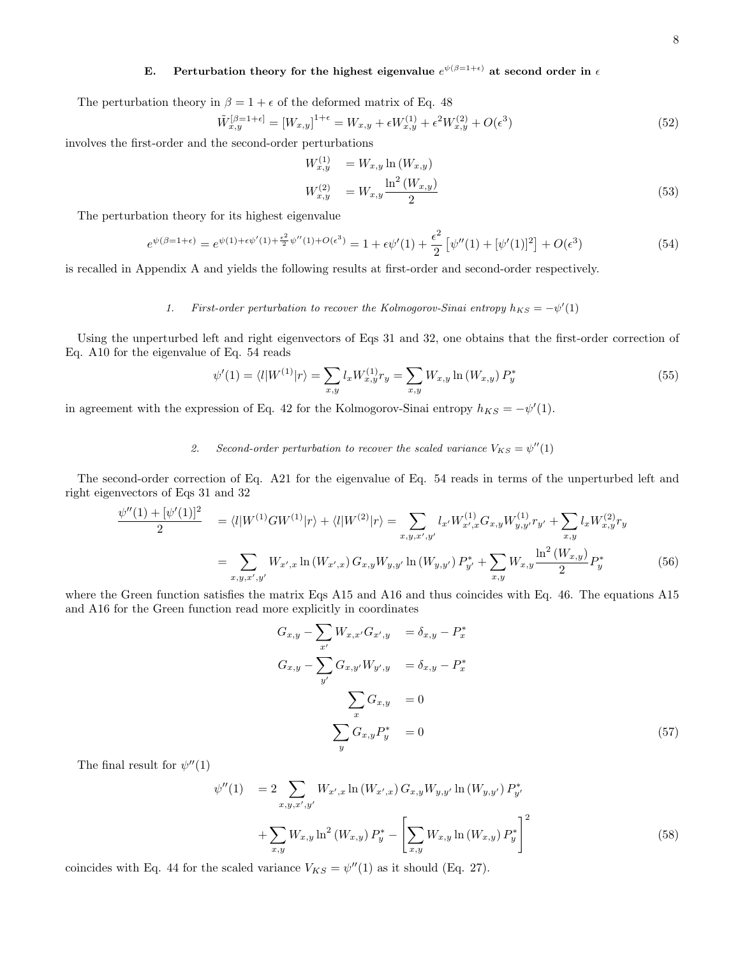# E. Perturbation theory for the highest eigenvalue  $e^{\psi(\beta=1+\epsilon)}$  at second order in  $\epsilon$

The perturbation theory in  $\beta = 1 + \epsilon$  of the deformed matrix of Eq. 48

$$
\tilde{W}_{x,y}^{[\beta=1+\epsilon]} = [W_{x,y}]^{1+\epsilon} = W_{x,y} + \epsilon W_{x,y}^{(1)} + \epsilon^2 W_{x,y}^{(2)} + O(\epsilon^3)
$$
\n(52)

involves the first-order and the second-order perturbations

$$
W_{x,y}^{(1)} = W_{x,y} \ln(W_{x,y})
$$
  
\n
$$
W_{x,y}^{(2)} = W_{x,y} \frac{\ln^2(W_{x,y})}{2}
$$
\n(53)

The perturbation theory for its highest eigenvalue

$$
e^{\psi(\beta=1+\epsilon)} = e^{\psi(1)+\epsilon\psi'(1)+\frac{\epsilon^2}{2}\psi''(1)+O(\epsilon^3)} = 1 + \epsilon\psi'(1) + \frac{\epsilon^2}{2} \left[\psi''(1)+[\psi'(1)]^2\right] + O(\epsilon^3)
$$
\n(54)

is recalled in Appendix A and yields the following results at first-order and second-order respectively.

# 1. First-order perturbation to recover the Kolmogorov-Sinai entropy  $h_{KS} = -\psi'(1)$

Using the unperturbed left and right eigenvectors of Eqs 31 and 32, one obtains that the first-order correction of Eq. A10 for the eigenvalue of Eq. 54 reads

$$
\psi'(1) = \langle l|W^{(1)}|r\rangle = \sum_{x,y} l_x W_{x,y}^{(1)} r_y = \sum_{x,y} W_{x,y} \ln(W_{x,y}) P_y^*
$$
\n(55)

in agreement with the expression of Eq. 42 for the Kolmogorov-Sinai entropy  $h_{KS} = -\psi'(1)$ .

# 2. Second-order perturbation to recover the scaled variance  $V_{KS} = \psi''(1)$

The second-order correction of Eq. A21 for the eigenvalue of Eq. 54 reads in terms of the unperturbed left and right eigenvectors of Eqs 31 and 32

$$
\frac{\psi''(1) + [\psi'(1)]^2}{2} = \langle l | W^{(1)} G W^{(1)} | r \rangle + \langle l | W^{(2)} | r \rangle = \sum_{x, y, x', y'} l_{x'} W^{(1)}_{x', x} G_{x, y} W^{(1)}_{y, y'} r_{y'} + \sum_{x, y} l_x W^{(2)}_{x, y} r_y
$$

$$
= \sum_{x, y, x', y'} W_{x', x} \ln(W_{x', x}) G_{x, y} W_{y, y'} \ln(W_{y, y'}) P^*_{y'} + \sum_{x, y} W_{x, y} \frac{\ln^2(W_{x, y})}{2} P^*_y \tag{56}
$$

where the Green function satisfies the matrix Eqs A15 and A16 and thus coincides with Eq. 46. The equations A15 and A16 for the Green function read more explicitly in coordinates

$$
G_{x,y} - \sum_{x'} W_{x,x'} G_{x',y} = \delta_{x,y} - P_x^*
$$
  
\n
$$
G_{x,y} - \sum_{y'} G_{x,y'} W_{y',y} = \delta_{x,y} - P_x^*
$$
  
\n
$$
\sum_{x} G_{x,y} = 0
$$
  
\n
$$
\sum_{y} G_{x,y} P_y^* = 0
$$
\n(57)

The final result for  $\psi''(1)$ 

$$
\psi''(1) = 2 \sum_{x,y,x',y'} W_{x',x} \ln(W_{x',x}) G_{x,y} W_{y,y'} \ln(W_{y,y'}) P_{y'}^*
$$
  
+ 
$$
\sum_{x,y} W_{x,y} \ln^2(W_{x,y}) P_y^* - \left[ \sum_{x,y} W_{x,y} \ln(W_{x,y}) P_y^* \right]^2
$$
(58)

coincides with Eq. 44 for the scaled variance  $V_{KS} = \psi''(1)$  as it should (Eq. 27).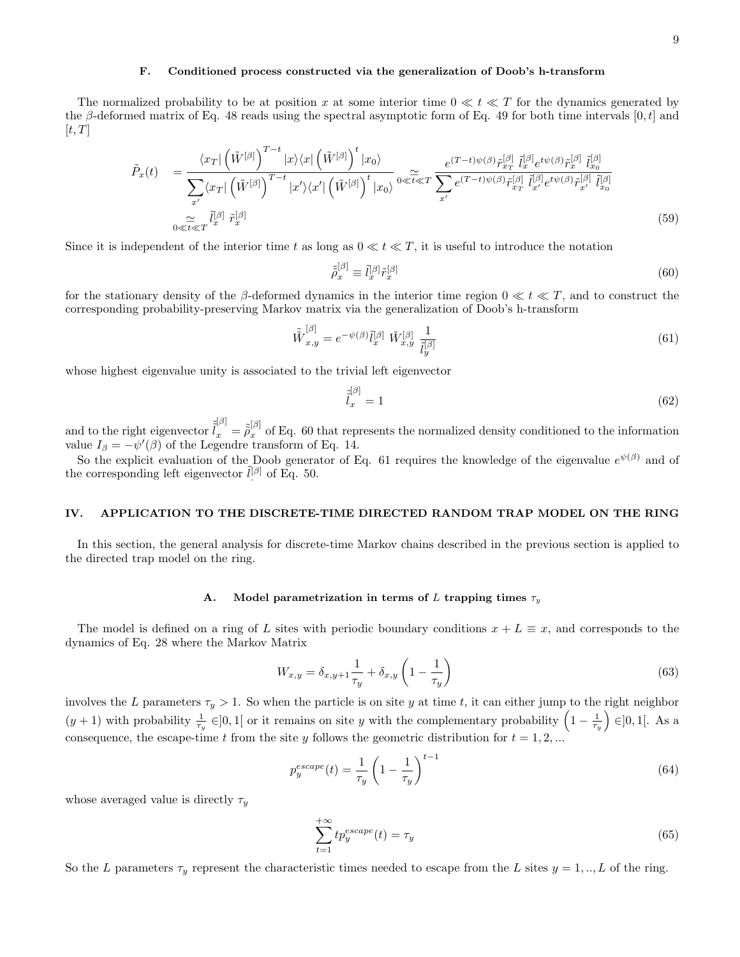### F. Conditioned process constructed via the generalization of Doob's h-transform

The normalized probability to be at position x at some interior time  $0 \ll t \ll T$  for the dynamics generated by the β-deformed matrix of Eq. 48 reads using the spectral asymptotic form of Eq. 49 for both time intervals [0, t] and  $[t, T]$ 

$$
\tilde{P}_x(t) = \frac{\langle x_T | \left(\tilde{W}^{[\beta]}\right)^{T-t} |x\rangle \langle x| \left(\tilde{W}^{[\beta]}\right)^t |x_0\rangle}{\sum_{x'} \langle x_T | \left(\tilde{W}^{[\beta]}\right)^{T-t} |x'\rangle \langle x'| \left(\tilde{W}^{[\beta]}\right)^t |x_0\rangle} \exp\left(\frac{e^{(T-t)\psi(\beta)} \tilde{r}_{x_T}^{[\beta]} \tilde{l}_{x}^{[\beta]} e^{t\psi(\beta)} \tilde{r}_{x}^{[\beta]} \tilde{l}_{x_0}^{[\beta]}}{\sum_{x'} e^{(T-t)\psi(\beta)} \tilde{r}_{x_T}^{[\beta]} \tilde{l}_{x'}^{[\beta]} e^{t\psi(\beta)} \tilde{r}_{x'}^{[\beta]} \tilde{l}_{x_0}^{[\beta]}}\right)}\n\n&\approx \tilde{t} \ll T \tilde{l}_x^{[\beta]} \tilde{r}_x^{[\beta]} \tag{59}
$$

Since it is independent of the interior time t as long as  $0 \ll t \ll T$ , it is useful to introduce the notation

$$
\tilde{\tilde{\rho}}_x^{[\beta]} \equiv \tilde{l}_x^{[\beta]} \tilde{r}_x^{[\beta]} \tag{60}
$$

for the stationary density of the β-deformed dynamics in the interior time region  $0 \ll t \ll T$ , and to construct the corresponding probability-preserving Markov matrix via the generalization of Doob's h-transform

$$
\tilde{\tilde{W}}_{x,y}^{[\beta]} = e^{-\psi(\beta)} \tilde{l}_x^{[\beta]} \tilde{W}_{x,y}^{[\beta]} \frac{1}{\tilde{l}_y^{[\beta]}} \tag{61}
$$

whose highest eigenvalue unity is associated to the trivial left eigenvector

$$
\tilde{\tilde{l}}_x^{[\beta]} = 1\tag{62}
$$

and to the right eigenvector  $\tilde{l}_x^{[\beta]} = \tilde{\tilde{\rho}}_x^{[\beta]}$  of Eq. 60 that represents the normalized density conditioned to the information value  $I_\beta = -\psi'(\beta)$  of the Legendre transform of Eq. 14.

So the explicit evaluation of the Doob generator of Eq. 61 requires the knowledge of the eigenvalue  $e^{\psi(\beta)}$  and of the corresponding left eigenvector  $\tilde{l}^{[\beta]}$  of Eq. 50.

## IV. APPLICATION TO THE DISCRETE-TIME DIRECTED RANDOM TRAP MODEL ON THE RING

In this section, the general analysis for discrete-time Markov chains described in the previous section is applied to the directed trap model on the ring.

#### A. Model parametrization in terms of L trapping times  $\tau_y$

The model is defined on a ring of L sites with periodic boundary conditions  $x + L \equiv x$ , and corresponds to the dynamics of Eq. 28 where the Markov Matrix

$$
W_{x,y} = \delta_{x,y+1} \frac{1}{\tau_y} + \delta_{x,y} \left( 1 - \frac{1}{\tau_y} \right)
$$
 (63)

involves the L parameters  $\tau_y > 1$ . So when the particle is on site y at time t, it can either jump to the right neighbor  $(y+1)$  with probability  $\frac{1}{\tau_y} \in ]0,1[$  or it remains on site y with the complementary probability  $\left(1-\frac{1}{\tau_y}\right) \in ]0,1[$ . As a consequence, the escape-time t from the site y follows the geometric distribution for  $t = 1, 2, ...$ 

$$
p_y^{escape}(t) = \frac{1}{\tau_y} \left( 1 - \frac{1}{\tau_y} \right)^{t-1} \tag{64}
$$

whose averaged value is directly  $\tau_y$ 

$$
\sum_{t=1}^{+\infty} t p_y^{escape}(t) = \tau_y \tag{65}
$$

So the L parameters  $\tau_y$  represent the characteristic times needed to escape from the L sites  $y = 1, ..., L$  of the ring.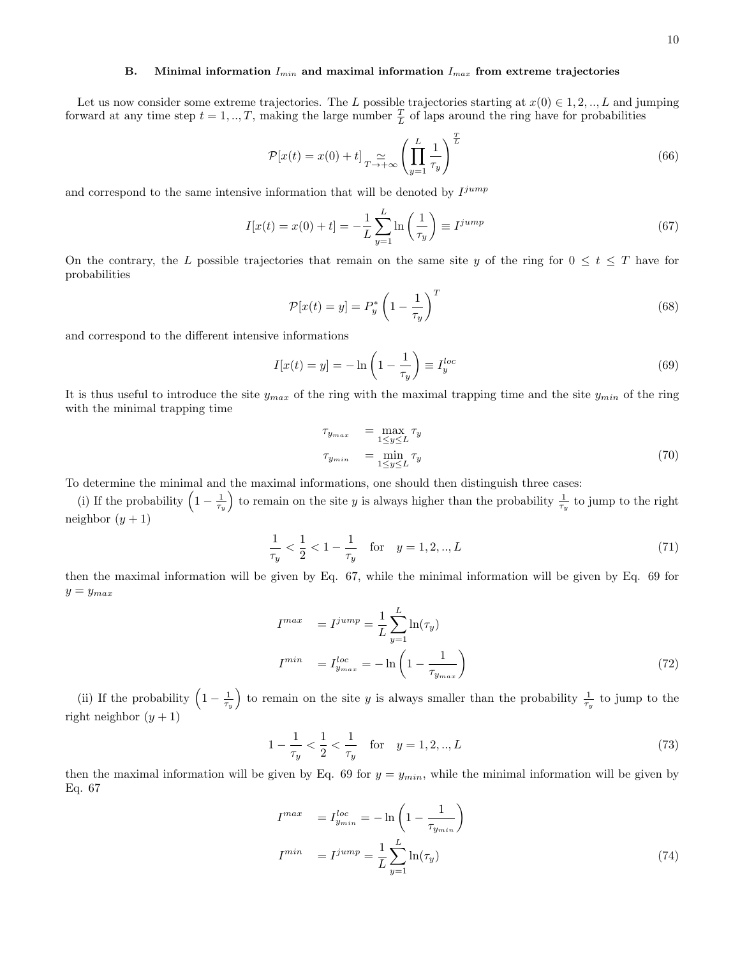# B. Minimal information  $I_{min}$  and maximal information  $I_{max}$  from extreme trajectories

Let us now consider some extreme trajectories. The L possible trajectories starting at  $x(0) \in 1, 2, ..., L$  and jumping forward at any time step  $t = 1, ..., T$ , making the large number  $\frac{T}{L}$  of laps around the ring have for probabilities

$$
\mathcal{P}[x(t) = x(0) + t] \underset{T \to +\infty}{\simeq} \left( \prod_{y=1}^{L} \frac{1}{\tau_y} \right)^{\frac{T}{L}}
$$
(66)

and correspond to the same intensive information that will be denoted by  $I^{jump}$ 

$$
I[x(t) = x(0) + t] = -\frac{1}{L} \sum_{y=1}^{L} \ln\left(\frac{1}{\tau_y}\right) \equiv I^{jump}
$$
\n(67)

On the contrary, the L possible trajectories that remain on the same site y of the ring for  $0 \le t \le T$  have for probabilities

$$
\mathcal{P}[x(t) = y] = P_y^* \left(1 - \frac{1}{\tau_y}\right)^T \tag{68}
$$

and correspond to the different intensive informations

$$
I[x(t) = y] = -\ln\left(1 - \frac{1}{\tau_y}\right) \equiv I_y^{loc}
$$
\n(69)

It is thus useful to introduce the site  $y_{max}$  of the ring with the maximal trapping time and the site  $y_{min}$  of the ring with the minimal trapping time

$$
\tau_{y_{max}} = \max_{1 \le y \le L} \tau_y
$$
  
\n
$$
\tau_{y_{min}} = \min_{1 \le y \le L} \tau_y
$$
\n(70)

To determine the minimal and the maximal informations, one should then distinguish three cases:

(i) If the probability  $\left(1-\frac{1}{\tau_y}\right)$  to remain on the site y is always higher than the probability  $\frac{1}{\tau_y}$  to jump to the right neighbor  $(y + 1)$ 

$$
\frac{1}{\tau_y} < \frac{1}{2} < 1 - \frac{1}{\tau_y} \quad \text{for} \quad y = 1, 2, \dots, L \tag{71}
$$

then the maximal information will be given by Eq. 67, while the minimal information will be given by Eq. 69 for  $y = y_{max}$ 

$$
I^{max} = I^{jump} = \frac{1}{L} \sum_{y=1}^{L} \ln(\tau_y)
$$
  

$$
I^{min} = I^{loc}_{y_{max}} = -\ln\left(1 - \frac{1}{\tau_{y_{max}}}\right)
$$
 (72)

(ii) If the probability  $\left(1-\frac{1}{\tau_y}\right)$  to remain on the site y is always smaller than the probability  $\frac{1}{\tau_y}$  to jump to the right neighbor  $(y + 1)$ 

$$
1 - \frac{1}{\tau_y} < \frac{1}{2} < \frac{1}{\tau_y} \quad \text{for} \quad y = 1, 2, \dots, L \tag{73}
$$

then the maximal information will be given by Eq. 69 for  $y = y_{min}$ , while the minimal information will be given by Eq. 67

$$
I^{max} = I_{y_{min}}^{loc} = -\ln\left(1 - \frac{1}{\tau_{y_{min}}}\right)
$$
  

$$
I^{min} = I^{jump} = \frac{1}{L} \sum_{y=1}^{L} \ln(\tau_y)
$$
 (74)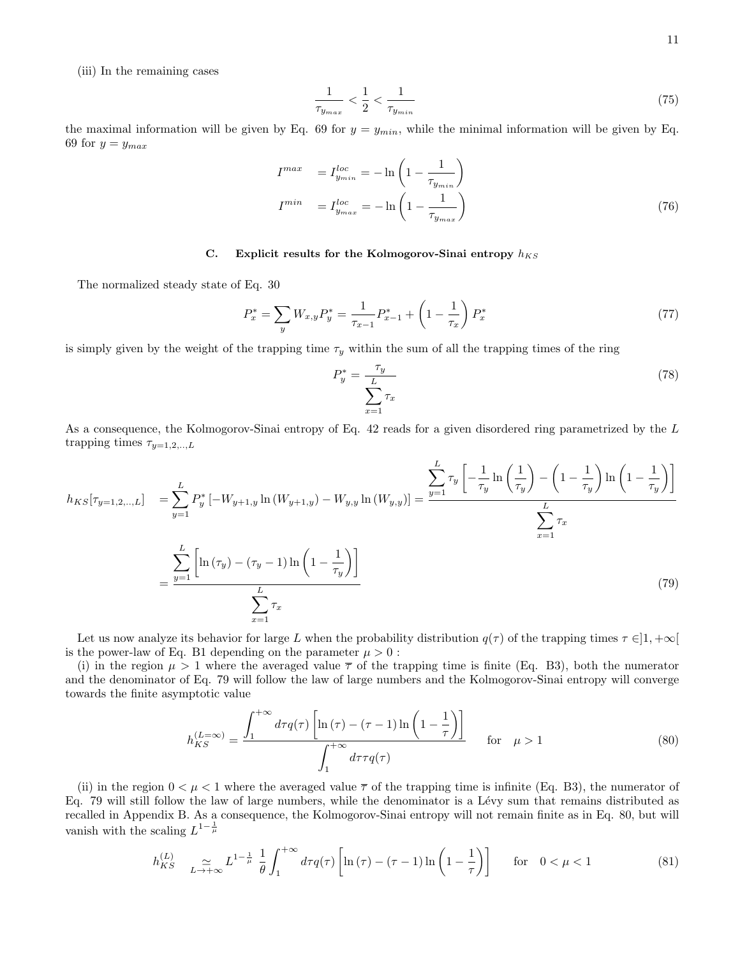(iii) In the remaining cases

$$
\frac{1}{\tau_{y_{max}}} < \frac{1}{2} < \frac{1}{\tau_{y_{min}}} \tag{75}
$$

the maximal information will be given by Eq. 69 for  $y = y_{min}$ , while the minimal information will be given by Eq. 69 for  $y = y_{max}$ 

$$
I^{max} = I_{y_{min}}^{loc} = -\ln\left(1 - \frac{1}{\tau_{y_{min}}}\right)
$$
  

$$
I^{min} = I_{y_{max}}^{loc} = -\ln\left(1 - \frac{1}{\tau_{y_{max}}}\right)
$$
 (76)

# C. Explicit results for the Kolmogorov-Sinai entropy  $h_{KS}$

The normalized steady state of Eq. 30

$$
P_x^* = \sum_y W_{x,y} P_y^* = \frac{1}{\tau_{x-1}} P_{x-1}^* + \left(1 - \frac{1}{\tau_x}\right) P_x^* \tag{77}
$$

is simply given by the weight of the trapping time  $\tau_y$  within the sum of all the trapping times of the ring

$$
P_y^* = \frac{\tau_y}{\sum_{x=1}^L \tau_x} \tag{78}
$$

As a consequence, the Kolmogorov-Sinai entropy of Eq. 42 reads for a given disordered ring parametrized by the L trapping times  $\tau_{y=1,2,..,L}$ 

$$
h_{KS}[\tau_{y=1,2,...,L}] = \sum_{y=1}^{L} P_y^* \left[ -W_{y+1,y} \ln(W_{y+1,y}) - W_{y,y} \ln(W_{y,y}) \right] = \frac{\sum_{y=1}^{L} \tau_y \left[ -\frac{1}{\tau_y} \ln\left(\frac{1}{\tau_y}\right) - \left(1 - \frac{1}{\tau_y}\right) \ln\left(1 - \frac{1}{\tau_y}\right) \right]}{\sum_{x=1}^{L} \tau_x}
$$
  

$$
= \frac{\sum_{y=1}^{L} \left[ \ln(\tau_y) - (\tau_y - 1) \ln\left(1 - \frac{1}{\tau_y}\right) \right]}{\sum_{x=1}^{L} \tau_x}
$$
(79)

Let us now analyze its behavior for large L when the probability distribution  $q(\tau)$  of the trapping times  $\tau \in ]1, +\infty[$ is the power-law of Eq. B1 depending on the parameter  $\mu > 0$ :

(i) in the region  $\mu > 1$  where the averaged value  $\bar{\tau}$  of the trapping time is finite (Eq. B3), both the numerator and the denominator of Eq. 79 will follow the law of large numbers and the Kolmogorov-Sinai entropy will converge towards the finite asymptotic value

$$
h_{KS}^{(L=\infty)} = \frac{\int_1^{+\infty} d\tau q(\tau) \left[ \ln(\tau) - (\tau - 1) \ln\left(1 - \frac{1}{\tau}\right) \right]}{\int_1^{+\infty} d\tau \tau q(\tau)} \quad \text{for} \quad \mu > 1
$$
 (80)

(ii) in the region  $0 < \mu < 1$  where the averaged value  $\overline{\tau}$  of the trapping time is infinite (Eq. B3), the numerator of Eq. 79 will still follow the law of large numbers, while the denominator is a Lévy sum that remains distributed as recalled in Appendix B. As a consequence, the Kolmogorov-Sinai entropy will not remain finite as in Eq. 80, but will vanish with the scaling  $L^{1-\frac{1}{\mu}}$ 

$$
h_{KS}^{(L)} \quad \underset{L \to +\infty}{\simeq} L^{1-\frac{1}{\mu}} \frac{1}{\theta} \int_{1}^{+\infty} d\tau q(\tau) \left[ \ln(\tau) - (\tau - 1) \ln\left(1 - \frac{1}{\tau}\right) \right] \quad \text{for} \quad 0 < \mu < 1 \tag{81}
$$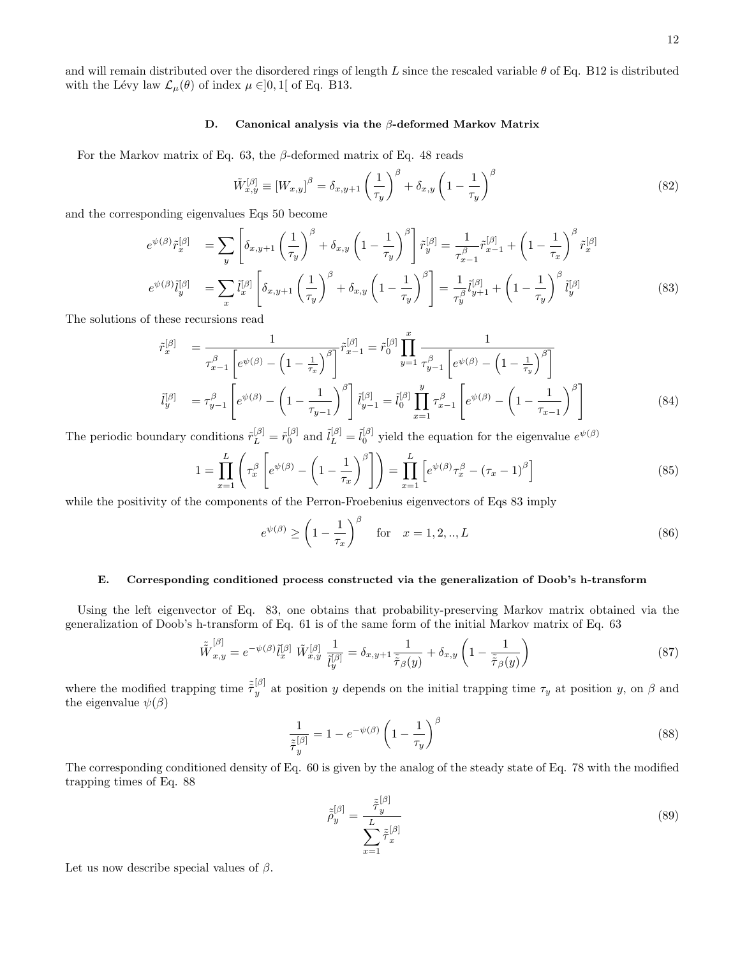and will remain distributed over the disordered rings of length L since the rescaled variable  $\theta$  of Eq. B12 is distributed with the Lévy law  $\mathcal{L}_{\mu}(\theta)$  of index  $\mu \in ]0,1[$  of Eq. B13.

#### D. Canonical analysis via the β-deformed Markov Matrix

For the Markov matrix of Eq. 63, the  $\beta$ -deformed matrix of Eq. 48 reads

$$
\tilde{W}_{x,y}^{[\beta]} \equiv \left[W_{x,y}\right]^{\beta} = \delta_{x,y+1} \left(\frac{1}{\tau_y}\right)^{\beta} + \delta_{x,y} \left(1 - \frac{1}{\tau_y}\right)^{\beta} \tag{82}
$$

and the corresponding eigenvalues Eqs 50 become

$$
e^{\psi(\beta)}\tilde{r}_x^{[\beta]} = \sum_y \left[ \delta_{x,y+1} \left( \frac{1}{\tau_y} \right)^\beta + \delta_{x,y} \left( 1 - \frac{1}{\tau_y} \right)^\beta \right] \tilde{r}_y^{[\beta]} = \frac{1}{\tau_{x-1}^\beta} \tilde{r}_{x-1}^{[\beta]} + \left( 1 - \frac{1}{\tau_x} \right)^\beta \tilde{r}_x^{[\beta]}
$$

$$
e^{\psi(\beta)}\tilde{l}_y^{[\beta]} = \sum_x \tilde{l}_x^{[\beta]} \left[ \delta_{x,y+1} \left( \frac{1}{\tau_y} \right)^\beta + \delta_{x,y} \left( 1 - \frac{1}{\tau_y} \right)^\beta \right] = \frac{1}{\tau_y^\beta} \tilde{l}_{y+1}^{[\beta]} + \left( 1 - \frac{1}{\tau_y} \right)^\beta \tilde{l}_y^{[\beta]}
$$
(83)

The solutions of these recursions read

$$
\tilde{r}_{x}^{[\beta]} = \frac{1}{\tau_{x-1}^{\beta} \left[ e^{\psi(\beta)} - \left( 1 - \frac{1}{\tau_{x}} \right)^{\beta} \right]} \tilde{r}_{x-1}^{[\beta]} = \tilde{r}_{0}^{[\beta]} \prod_{y=1}^{x} \frac{1}{\tau_{y-1}^{\beta} \left[ e^{\psi(\beta)} - \left( 1 - \frac{1}{\tau_{y}} \right)^{\beta} \right]}
$$
\n
$$
\tilde{l}_{y}^{[\beta]} = \tau_{y-1}^{\beta} \left[ e^{\psi(\beta)} - \left( 1 - \frac{1}{\tau_{y-1}} \right)^{\beta} \right] \tilde{l}_{y-1}^{[\beta]} = \tilde{l}_{0}^{[\beta]} \prod_{x=1}^{y} \tau_{x-1}^{\beta} \left[ e^{\psi(\beta)} - \left( 1 - \frac{1}{\tau_{x-1}} \right)^{\beta} \right]
$$
\n(84)

The periodic boundary conditions  $\tilde{r}_L^{[\beta]} = \tilde{r}_0^{[\beta]}$  and  $\tilde{l}_L^{[\beta]} = \tilde{l}_0^{[\beta]}$  yield the equation for the eigenvalue  $e^{\psi(\beta)}$ 

$$
1 = \prod_{x=1}^{L} \left( \tau_x^{\beta} \left[ e^{\psi(\beta)} - \left( 1 - \frac{1}{\tau_x} \right)^{\beta} \right] \right) = \prod_{x=1}^{L} \left[ e^{\psi(\beta)} \tau_x^{\beta} - (\tau_x - 1)^{\beta} \right]
$$
(85)

while the positivity of the components of the Perron-Froebenius eigenvectors of Eqs 83 imply

$$
e^{\psi(\beta)} \ge \left(1 - \frac{1}{\tau_x}\right)^{\beta} \quad \text{for} \quad x = 1, 2, \dots, L \tag{86}
$$

#### E. Corresponding conditioned process constructed via the generalization of Doob's h-transform

Using the left eigenvector of Eq. 83, one obtains that probability-preserving Markov matrix obtained via the generalization of Doob's h-transform of Eq. 61 is of the same form of the initial Markov matrix of Eq. 63

$$
\tilde{\tilde{W}}_{x,y}^{[\beta]} = e^{-\psi(\beta)} \tilde{l}_x^{[\beta]} \ \tilde{W}_{x,y}^{[\beta]} \ \frac{1}{\tilde{l}_y^{[\beta]}} = \delta_{x,y+1} \frac{1}{\tilde{\tilde{\tau}}_{\beta}(y)} + \delta_{x,y} \left( 1 - \frac{1}{\tilde{\tilde{\tau}}_{\beta}(y)} \right) \tag{87}
$$

where the modified trapping time  $\tilde{\tau}_y^{[\beta]}$  at position y depends on the initial trapping time  $\tau_y$  at position y, on  $\beta$  and the eigenvalue  $\psi(\beta)$ 

$$
\frac{1}{\tilde{\tau}_y^{[\beta]}} = 1 - e^{-\psi(\beta)} \left( 1 - \frac{1}{\tau_y} \right)^{\beta} \tag{88}
$$

The corresponding conditioned density of Eq. 60 is given by the analog of the steady state of Eq. 78 with the modified trapping times of Eq. 88

$$
\tilde{\tilde{\rho}}_y^{[\beta]} = \frac{\tilde{\tilde{\tau}}_y^{[\beta]}}{\sum_{x=1}^L \tilde{\tilde{\tau}}_x^{[\beta]}}\tag{89}
$$

Let us now describe special values of  $\beta$ .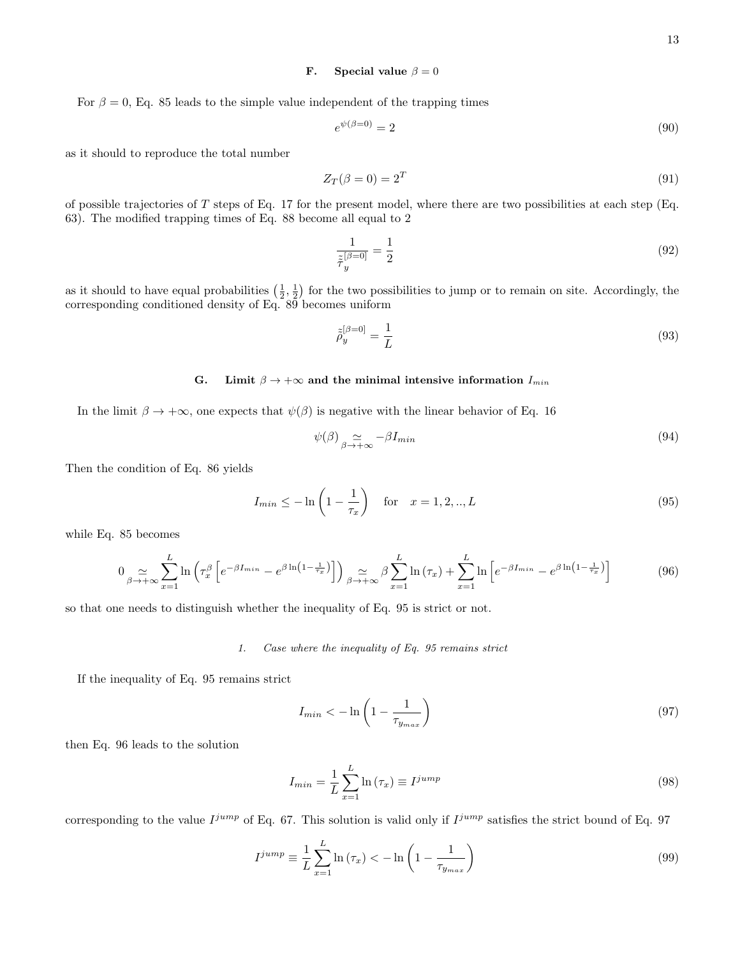# **F.** Special value  $\beta = 0$

For  $\beta = 0$ , Eq. 85 leads to the simple value independent of the trapping times

$$
e^{\psi(\beta=0)} = 2\tag{90}
$$

as it should to reproduce the total number

$$
Z_T(\beta = 0) = 2^T \tag{91}
$$

of possible trajectories of  $T$  steps of Eq. 17 for the present model, where there are two possibilities at each step (Eq. 63). The modified trapping times of Eq. 88 become all equal to 2

$$
\frac{1}{\tilde{\tau}_y^{[\beta=0]}} = \frac{1}{2} \tag{92}
$$

as it should to have equal probabilities  $(\frac{1}{2}, \frac{1}{2})$  for the two possibilities to jump or to remain on site. Accordingly, the corresponding conditioned density of Eq. 89 becomes uniform

$$
\tilde{\tilde{\rho}}_y^{[\beta=0]} = \frac{1}{L} \tag{93}
$$

# G. Limit  $\beta \to +\infty$  and the minimal intensive information  $I_{min}$

In the limit  $\beta \to +\infty$ , one expects that  $\psi(\beta)$  is negative with the linear behavior of Eq. 16

$$
\psi(\beta) \underset{\beta \to +\infty}{\simeq} -\beta I_{min} \tag{94}
$$

Then the condition of Eq. 86 yields

$$
I_{min} \le -\ln\left(1 - \frac{1}{\tau_x}\right)
$$
 for  $x = 1, 2, ..., L$  (95)

while Eq. 85 becomes

$$
0 \underset{\beta \to +\infty}{\simeq} \sum_{x=1}^{L} \ln \left( \tau_x^{\beta} \left[ e^{-\beta I_{min}} - e^{\beta \ln \left(1 - \frac{1}{\tau_x}\right)} \right] \right) \underset{\beta \to +\infty}{\simeq} \beta \sum_{x=1}^{L} \ln \left( \tau_x \right) + \sum_{x=1}^{L} \ln \left[ e^{-\beta I_{min}} - e^{\beta \ln \left(1 - \frac{1}{\tau_x}\right)} \right] \tag{96}
$$

so that one needs to distinguish whether the inequality of Eq. 95 is strict or not.

#### 1. Case where the inequality of Eq. 95 remains strict

If the inequality of Eq. 95 remains strict

$$
I_{min} < -\ln\left(1 - \frac{1}{\tau_{y_{max}}}\right) \tag{97}
$$

then Eq. 96 leads to the solution

$$
I_{min} = \frac{1}{L} \sum_{x=1}^{L} \ln \left( \tau_x \right) \equiv I^{jump} \tag{98}
$$

corresponding to the value  $I^{jump}$  of Eq. 67. This solution is valid only if  $I^{jump}$  satisfies the strict bound of Eq. 97

$$
I^{jump} \equiv \frac{1}{L} \sum_{x=1}^{L} \ln \left( \tau_x \right) < -\ln \left( 1 - \frac{1}{\tau_{y_{max}}} \right) \tag{99}
$$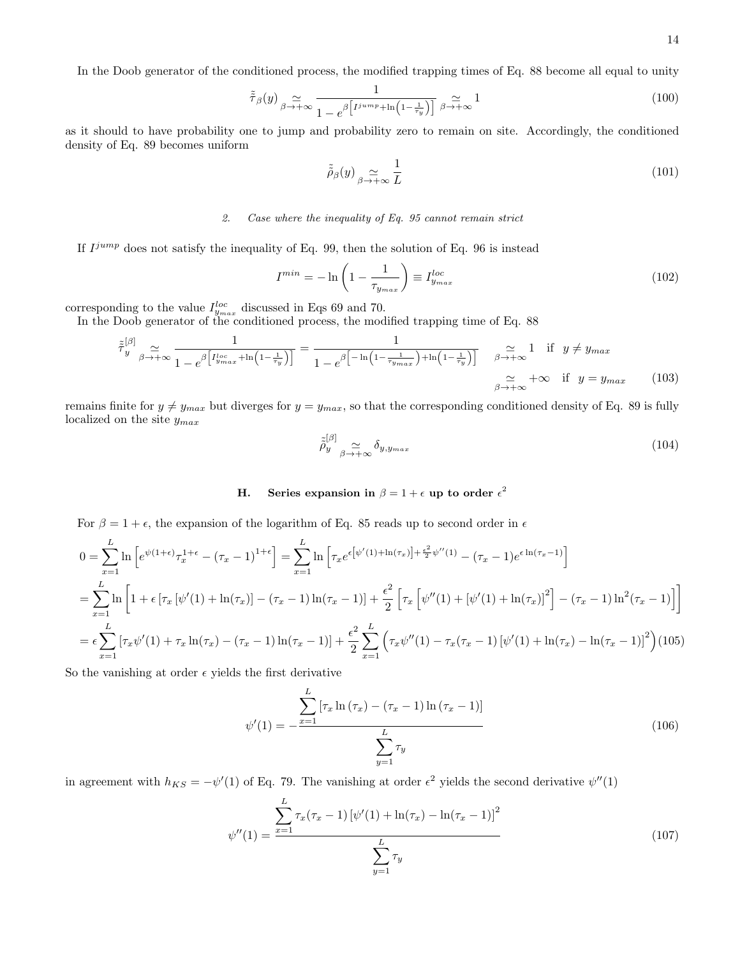In the Doob generator of the conditioned process, the modified trapping times of Eq. 88 become all equal to unity

$$
\tilde{\tilde{\tau}}_{\beta}(y) \underset{\beta \to +\infty}{\simeq} \frac{1}{1 - e^{\beta \left[ I^{jump} + \ln\left(1 - \frac{1}{\tau_y}\right) \right]}} \underset{\beta \to +\infty}{\simeq} 1
$$
\n
$$
(100)
$$

as it should to have probability one to jump and probability zero to remain on site. Accordingly, the conditioned density of Eq. 89 becomes uniform

$$
\tilde{\tilde{\rho}}_{\beta}(y) \underset{\beta \to +\infty}{\simeq} \frac{1}{L} \tag{101}
$$

# 2. Case where the inequality of Eq. 95 cannot remain strict

If  $I^{jump}$  does not satisfy the inequality of Eq. 99, then the solution of Eq. 96 is instead

$$
I^{min} = -\ln\left(1 - \frac{1}{\tau_{y_{max}}}\right) \equiv I^{loc}_{y_{max}} \tag{102}
$$

corresponding to the value  $I_{y_{max}}^{loc}$  discussed in Eqs 69 and 70.

In the Doob generator of the conditioned process, the modified trapping time of Eq. 88

$$
\tilde{\tau}_{y}^{[\beta]} \underset{\beta \to +\infty}{\simeq} \frac{1}{1 - e^{\beta \left[ I_{ymax}^{loc} + \ln\left(1 - \frac{1}{\tau_y}\right) \right]}} = \frac{1}{1 - e^{\beta \left[ -\ln\left(1 - \frac{1}{\tau_{ymax}}\right) + \ln\left(1 - \frac{1}{\tau_y}\right) \right]}} \quad \beta \to +\infty \quad \text{if} \quad y \neq y_{max}
$$
\n
$$
\beta \to +\infty \quad \text{if} \quad y = y_{max} \tag{103}
$$

remains finite for  $y \neq y_{max}$  but diverges for  $y = y_{max}$ , so that the corresponding conditioned density of Eq. 89 is fully localized on the site  $y_{max}$ 

$$
\tilde{\tilde{\rho}}_y^{[\beta]} \underset{\beta \to +\infty}{\simeq} \delta_{y, y_{max}} \tag{104}
$$

# H. Series expansion in  $\beta = 1 + \epsilon$  up to order  $\epsilon^2$

For  $\beta = 1 + \epsilon$ , the expansion of the logarithm of Eq. 85 reads up to second order in  $\epsilon$ 

$$
0 = \sum_{x=1}^{L} \ln \left[ e^{\psi(1+\epsilon)} \tau_x^{1+\epsilon} - (\tau_x - 1)^{1+\epsilon} \right] = \sum_{x=1}^{L} \ln \left[ \tau_x e^{\epsilon \left[ \psi'(1) + \ln(\tau_x) \right] + \frac{\epsilon^2}{2} \psi''(1)} - (\tau_x - 1) e^{\epsilon \ln(\tau_x - 1)} \right]
$$
  
\n
$$
= \sum_{x=1}^{L} \ln \left[ 1 + \epsilon \left[ \tau_x \left[ \psi'(1) + \ln(\tau_x) \right] - (\tau_x - 1) \ln(\tau_x - 1) \right] + \frac{\epsilon^2}{2} \left[ \tau_x \left[ \psi''(1) + \left[ \psi'(1) + \ln(\tau_x) \right]^2 \right] - (\tau_x - 1) \ln^2(\tau_x - 1) \right] \right]
$$
  
\n
$$
= \epsilon \sum_{x=1}^{L} \left[ \tau_x \psi'(1) + \tau_x \ln(\tau_x) - (\tau_x - 1) \ln(\tau_x - 1) \right] + \frac{\epsilon^2}{2} \sum_{x=1}^{L} \left( \tau_x \psi''(1) - \tau_x (\tau_x - 1) \left[ \psi'(1) + \ln(\tau_x) - \ln(\tau_x - 1) \right]^2 \right) (105)
$$

So the vanishing at order  $\epsilon$  yields the first derivative

$$
\psi'(1) = -\frac{\sum_{x=1}^{L} [\tau_x \ln (\tau_x) - (\tau_x - 1) \ln (\tau_x - 1)]}{\sum_{y=1}^{L} \tau_y}
$$
\n(106)

in agreement with  $h_{KS} = -\psi'(1)$  of Eq. 79. The vanishing at order  $\epsilon^2$  yields the second derivative  $\psi''(1)$ 

$$
\psi''(1) = \frac{\sum_{x=1}^{L} \tau_x(\tau_x - 1) [\psi'(1) + \ln(\tau_x) - \ln(\tau_x - 1)]^2}{\sum_{y=1}^{L} \tau_y}
$$
\n(107)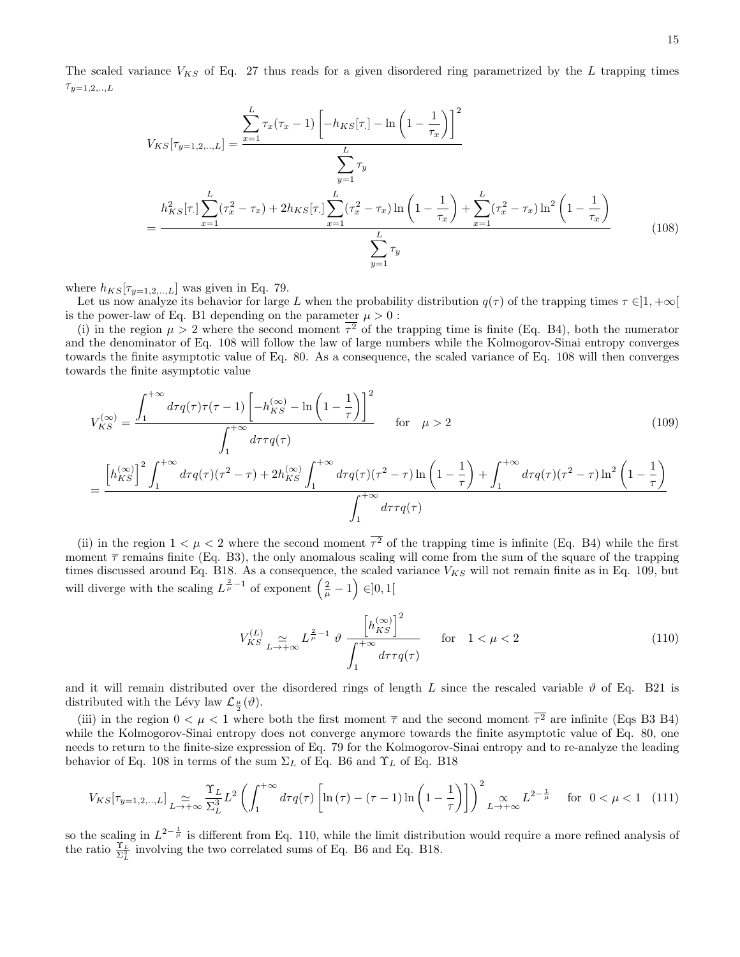The scaled variance  $V_{KS}$  of Eq. 27 thus reads for a given disordered ring parametrized by the L trapping times  $\tau_{y=1,2,..,L}$ 

$$
V_{KS}[\tau_{y=1,2,...,L}] = \frac{\sum_{x=1}^{L} \tau_x(\tau_x - 1) \left[ -h_{KS}[\tau_x] - \ln\left(1 - \frac{1}{\tau_x}\right) \right]^2}{\sum_{y=1}^{L} \tau_y}
$$

$$
= \frac{h_{KS}^2[\tau_x] \sum_{x=1}^{L} (\tau_x^2 - \tau_x) + 2h_{KS}[\tau_x] \sum_{x=1}^{L} (\tau_x^2 - \tau_x) \ln\left(1 - \frac{1}{\tau_x}\right) + \sum_{x=1}^{L} (\tau_x^2 - \tau_x) \ln^2\left(1 - \frac{1}{\tau_x}\right)}{\sum_{y=1}^{L} \tau_y}
$$
(108)

where  $h_{KS}[\tau_{y=1,2,...,L}]$  was given in Eq. 79.

Let us now analyze its behavior for large L when the probability distribution  $q(\tau)$  of the trapping times  $\tau \in ]1, +\infty[$ is the power-law of Eq. B1 depending on the parameter  $\mu > 0$ :

(i) in the region  $\mu > 2$  where the second moment  $\tau^2$  of the trapping time is finite (Eq. B4), both the numerator and the denominator of Eq. 108 will follow the law of large numbers while the Kolmogorov-Sinai entropy converges towards the finite asymptotic value of Eq. 80. As a consequence, the scaled variance of Eq. 108 will then converges towards the finite asymptotic value

$$
V_{KS}^{(\infty)} = \frac{\int_{1}^{+\infty} d\tau q(\tau)\tau(\tau-1) \left[-h_{KS}^{(\infty)} - \ln\left(1-\frac{1}{\tau}\right)\right]^2}{\int_{1}^{+\infty} d\tau \tau q(\tau)} \quad \text{for} \quad \mu > 2
$$
\n
$$
= \frac{\left[h_{KS}^{(\infty)}\right]^2 \int_{1}^{+\infty} d\tau q(\tau)(\tau^2 - \tau) + 2h_{KS}^{(\infty)} \int_{1}^{+\infty} d\tau q(\tau)(\tau^2 - \tau) \ln\left(1-\frac{1}{\tau}\right) + \int_{1}^{+\infty} d\tau q(\tau)(\tau^2 - \tau) \ln^2\left(1-\frac{1}{\tau}\right)}{\int_{1}^{+\infty} d\tau \tau q(\tau)}
$$
\n(109)

(ii) in the region  $1 < \mu < 2$  where the second moment  $\tau^2$  of the trapping time is infinite (Eq. B4) while the first moment  $\bar{\tau}$  remains finite (Eq. B3), the only anomalous scaling will come from the sum of the square of the trapping times discussed around Eq. B18. As a consequence, the scaled variance  $V_{KS}$  will not remain finite as in Eq. 109, but will diverge with the scaling  $L^{\frac{2}{\mu}-1}$  of exponent  $(\frac{2}{\mu}-1) \in ]0,1[$ 

$$
V_{KS}^{(L)} \underset{L \to +\infty}{\simeq} L^{\frac{2}{\mu}-1} \vartheta \frac{\left[h_{KS}^{(\infty)}\right]^{2}}{\int_{1}^{+\infty} d\tau \tau q(\tau)} \qquad \text{for} \quad 1 < \mu < 2 \tag{110}
$$

and it will remain distributed over the disordered rings of length L since the rescaled variable  $\vartheta$  of Eq. B21 is distributed with the Lévy law  $\mathcal{L}_{\frac{\mu}{2}}(\vartheta)$ .

(iii) in the region  $0 < \mu < 1$  where both the first moment  $\bar{\tau}$  and the second moment  $\tau^2$  are infinite (Eqs B3 B4) while the Kolmogorov-Sinai entropy does not converge anymore towards the finite asymptotic value of Eq. 80, one needs to return to the finite-size expression of Eq. 79 for the Kolmogorov-Sinai entropy and to re-analyze the leading behavior of Eq. 108 in terms of the sum  $\Sigma_L$  of Eq. B6 and  $\Upsilon_L$  of Eq. B18

$$
V_{KS}[\tau_{y=1,2,\dots,L}] \underset{L\to+\infty}{\simeq} \frac{\Upsilon_L}{\Sigma_L^3} L^2 \left( \int_1^{+\infty} d\tau q(\tau) \left[ \ln\left(\tau\right) - \left(\tau - 1\right) \ln\left(1 - \frac{1}{\tau}\right) \right] \right)^2 \underset{L\to+\infty}{\simeq} L^{2 - \frac{1}{\mu}} \quad \text{for } 0 < \mu < 1 \tag{111}
$$

so the scaling in  $L^{2-\frac{1}{\mu}}$  is different from Eq. 110, while the limit distribution would require a more refined analysis of the ratio  $\frac{\Upsilon_L}{\Sigma_L^3}$  involving the two correlated sums of Eq. B6 and Eq. B18.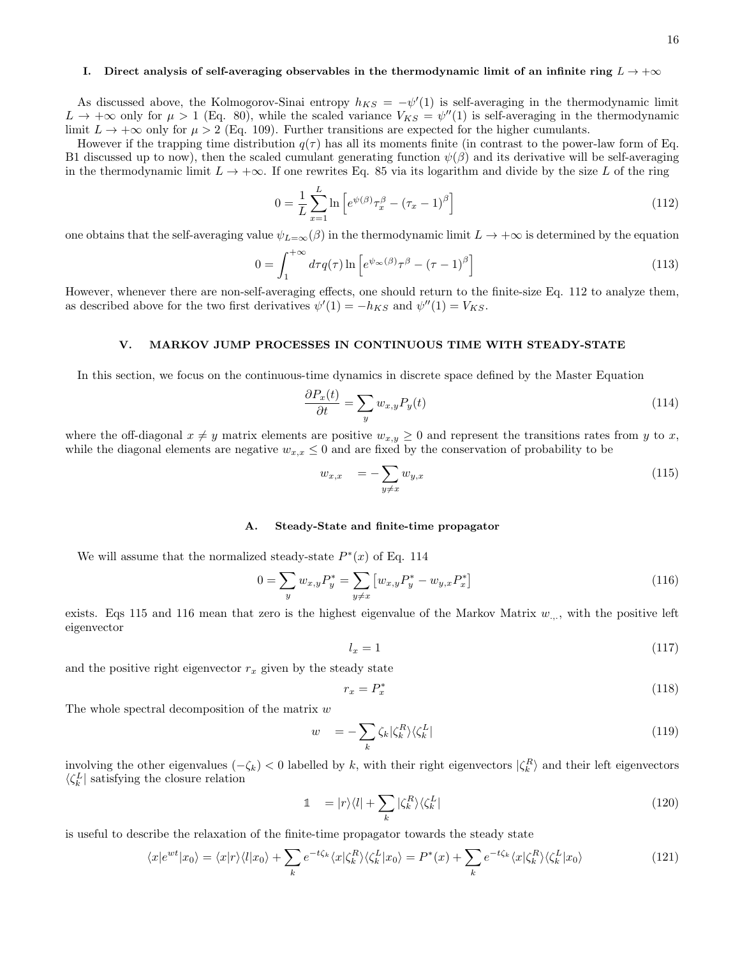#### I. Direct analysis of self-averaging observables in the thermodynamic limit of an infinite ring  $L \to +\infty$

As discussed above, the Kolmogorov-Sinai entropy  $h_{KS} = -\psi'(1)$  is self-averaging in the thermodynamic limit  $L \to +\infty$  only for  $\mu > 1$  (Eq. 80), while the scaled variance  $V_{KS} = \psi''(1)$  is self-averaging in the thermodynamic limit  $L \to +\infty$  only for  $\mu > 2$  (Eq. 109). Further transitions are expected for the higher cumulants.

However if the trapping time distribution  $q(\tau)$  has all its moments finite (in contrast to the power-law form of Eq. B1 discussed up to now), then the scaled cumulant generating function  $\psi(\beta)$  and its derivative will be self-averaging in the thermodynamic limit  $L \to +\infty$ . If one rewrites Eq. 85 via its logarithm and divide by the size L of the ring

$$
0 = \frac{1}{L} \sum_{x=1}^{L} \ln \left[ e^{\psi(\beta)} \tau_x^{\beta} - (\tau_x - 1)^{\beta} \right]
$$
\n(112)

one obtains that the self-averaging value  $\psi_{L=\infty}(\beta)$  in the thermodynamic limit  $L \to +\infty$  is determined by the equation

$$
0 = \int_{1}^{+\infty} d\tau q(\tau) \ln \left[ e^{\psi_{\infty}(\beta)} \tau^{\beta} - (\tau - 1)^{\beta} \right]
$$
 (113)

However, whenever there are non-self-averaging effects, one should return to the finite-size Eq. 112 to analyze them, as described above for the two first derivatives  $\psi'(1) = -h_{KS}$  and  $\psi''(1) = V_{KS}$ .

#### V. MARKOV JUMP PROCESSES IN CONTINUOUS TIME WITH STEADY-STATE

In this section, we focus on the continuous-time dynamics in discrete space defined by the Master Equation

$$
\frac{\partial P_x(t)}{\partial t} = \sum_y w_{x,y} P_y(t) \tag{114}
$$

where the off-diagonal  $x \neq y$  matrix elements are positive  $w_{x,y} \geq 0$  and represent the transitions rates from y to x, while the diagonal elements are negative  $w_{x,x} \leq 0$  and are fixed by the conservation of probability to be

$$
w_{x,x} = -\sum_{y \neq x} w_{y,x} \tag{115}
$$

#### A. Steady-State and finite-time propagator

We will assume that the normalized steady-state  $P^*(x)$  of Eq. 114

$$
0 = \sum_{y} w_{x,y} P_y^* = \sum_{y \neq x} \left[ w_{x,y} P_y^* - w_{y,x} P_x^* \right] \tag{116}
$$

exists. Eqs 115 and 116 mean that zero is the highest eigenvalue of the Markov Matrix  $w_{\dots}$ , with the positive left eigenvector

$$
l_x = 1 \tag{117}
$$

and the positive right eigenvector  $r_x$  given by the steady state

$$
r_x = P_x^* \tag{118}
$$

The whole spectral decomposition of the matrix  $w$ 

$$
w = -\sum_{k} \zeta_{k} |\zeta_{k}^{R}\rangle\langle\zeta_{k}^{L}| \tag{119}
$$

involving the other eigenvalues  $(-\zeta_k) < 0$  labelled by k, with their right eigenvectors  $|\zeta_k^R\rangle$  and their left eigenvectors  $\langle \zeta_k^L |$  satisfying the closure relation

$$
\mathbb{1} \quad = |r\rangle\langle l| + \sum_{k} |\zeta_{k}^{R}\rangle\langle\zeta_{k}^{L}| \tag{120}
$$

is useful to describe the relaxation of the finite-time propagator towards the steady state

$$
\langle x|e^{wt}|x_0\rangle = \langle x|r\rangle\langle l|x_0\rangle + \sum_k e^{-t\zeta_k}\langle x|\zeta_k^R\rangle\langle\zeta_k^L|x_0\rangle = P^*(x) + \sum_k e^{-t\zeta_k}\langle x|\zeta_k^R\rangle\langle\zeta_k^L|x_0\rangle
$$
\n(121)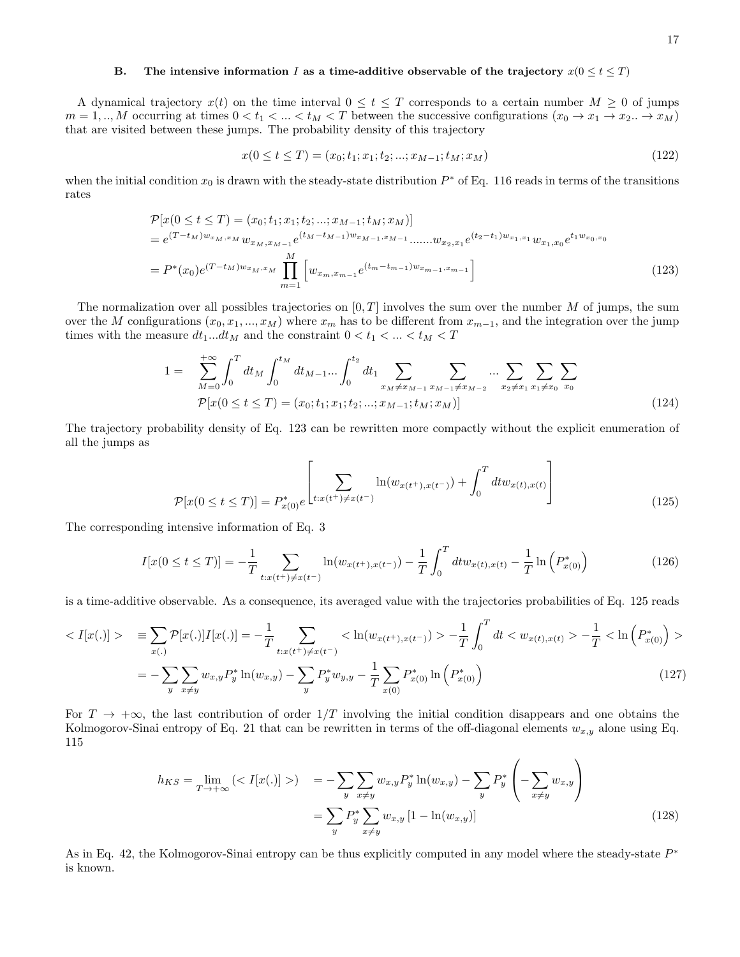## B. The intensive information I as a time-additive observable of the trajectory  $x(0 \le t \le T)$

A dynamical trajectory  $x(t)$  on the time interval  $0 \le t \le T$  corresponds to a certain number  $M \ge 0$  of jumps  $m = 1,..,M$  occurring at times  $0 < t_1 < ... < t_M < T$  between the successive configurations  $(x_0 \to x_1 \to x_2..\to x_M)$ that are visited between these jumps. The probability density of this trajectory

$$
x(0 \le t \le T) = (x_0; t_1; x_1; t_2; ...; x_{M-1}; t_M; x_M)
$$
\n
$$
(122)
$$

when the initial condition  $x_0$  is drawn with the steady-state distribution  $P^*$  of Eq. 116 reads in terms of the transitions rates

$$
\mathcal{P}[x(0 \le t \le T) = (x_0; t_1; x_1; t_2; ...; x_{M-1}; t_M; x_M)]
$$
\n
$$
= e^{(T-t_M)w_{x_M, x_M}} w_{x_M, x_{M-1}} e^{(t_M - t_{M-1})w_{x_M-1}, x_{M-1}} \dots w_{x_2, x_1} e^{(t_2 - t_1)w_{x_1, x_1}} w_{x_1, x_0} e^{t_1 w_{x_0, x_0}}
$$
\n
$$
= P^*(x_0) e^{(T-t_M)w_{x_M, x_M}} \prod_{m=1}^M \left[ w_{x_m, x_{m-1}} e^{(t_m - t_{m-1})w_{x_{m-1}, x_{m-1}}} \right]
$$
\n(123)

The normalization over all possibles trajectories on  $[0, T]$  involves the sum over the number M of jumps, the sum over the M configurations  $(x_0, x_1, ..., x_M)$  where  $x_m$  has to be different from  $x_{m-1}$ , and the integration over the jump times with the measure  $dt_1...dt_M$  and the constraint  $0 < t_1 < ... < t_M < T$ 

$$
1 = \sum_{M=0}^{+\infty} \int_0^T dt_M \int_0^{t_M} dt_{M-1} \dots \int_0^{t_2} dt_1 \sum_{x_M \neq x_{M-1}} \sum_{x_{M-1} \neq x_{M-2}} \dots \sum_{x_2 \neq x_1} \sum_{x_1 \neq x_0} \sum_{x_0} \sum_{x_0} \mathcal{F}[\mathbf{x}(0 \le t \le T) = (x_0; t_1; x_1; t_2; \dots; x_{M-1}; t_M; x_M)] \tag{124}
$$

The trajectory probability density of Eq. 123 can be rewritten more compactly without the explicit enumeration of all the jumps as

$$
\mathcal{P}[x(0 \le t \le T)] = P_{x(0)}^* e^{\left[\sum_{t:x(t^+) \neq x(t^-)} \ln(w_{x(t^+),x(t^-)}) + \int_0^T dt w_{x(t),x(t)}\right]}
$$
(125)

The corresponding intensive information of Eq. 3

$$
I[x(0 \le t \le T)] = -\frac{1}{T} \sum_{t:x(t^+) \neq x(t^-)} \ln(w_{x(t^+),x(t^-)}) - \frac{1}{T} \int_0^T dt w_{x(t),x(t)} - \frac{1}{T} \ln(P_{x(0)}^*)
$$
(126)

is a time-additive observable. As a consequence, its averaged value with the trajectories probabilities of Eq. 125 reads

$$
\langle I[x(.)] \rangle = \sum_{x(.)} \mathcal{P}[x(.)] I[x(.)] = -\frac{1}{T} \sum_{t:x(t^+) \neq x(t^-)} \langle \ln(w_{x(t^+),x(t^-)}) \rangle - \frac{1}{T} \int_0^T dt \langle w_{x(t),x(t)} \rangle - \frac{1}{T} \langle \ln \left( P_{x(0)}^* \right) \rangle
$$
  

$$
= -\sum_y \sum_{x \neq y} w_{x,y} P_y^* \ln(w_{x,y}) - \sum_y P_y^* w_{y,y} - \frac{1}{T} \sum_{x(0)} P_{x(0)}^* \ln \left( P_{x(0)}^* \right) \tag{127}
$$

For  $T \to +\infty$ , the last contribution of order  $1/T$  involving the initial condition disappears and one obtains the Kolmogorov-Sinai entropy of Eq. 21 that can be rewritten in terms of the off-diagonal elements  $w_{x,y}$  alone using Eq. 115

$$
h_{KS} = \lim_{T \to +\infty} \left( \langle I[x(.)] \rangle \right) = -\sum_{y} \sum_{x \neq y} w_{x,y} P_{y}^{*} \ln(w_{x,y}) - \sum_{y} P_{y}^{*} \left( -\sum_{x \neq y} w_{x,y} \right)
$$

$$
= \sum_{y} P_{y}^{*} \sum_{x \neq y} w_{x,y} \left[ 1 - \ln(w_{x,y}) \right]
$$
(128)

As in Eq. 42, the Kolmogorov-Sinai entropy can be thus explicitly computed in any model where the steady-state  $P^*$ is known.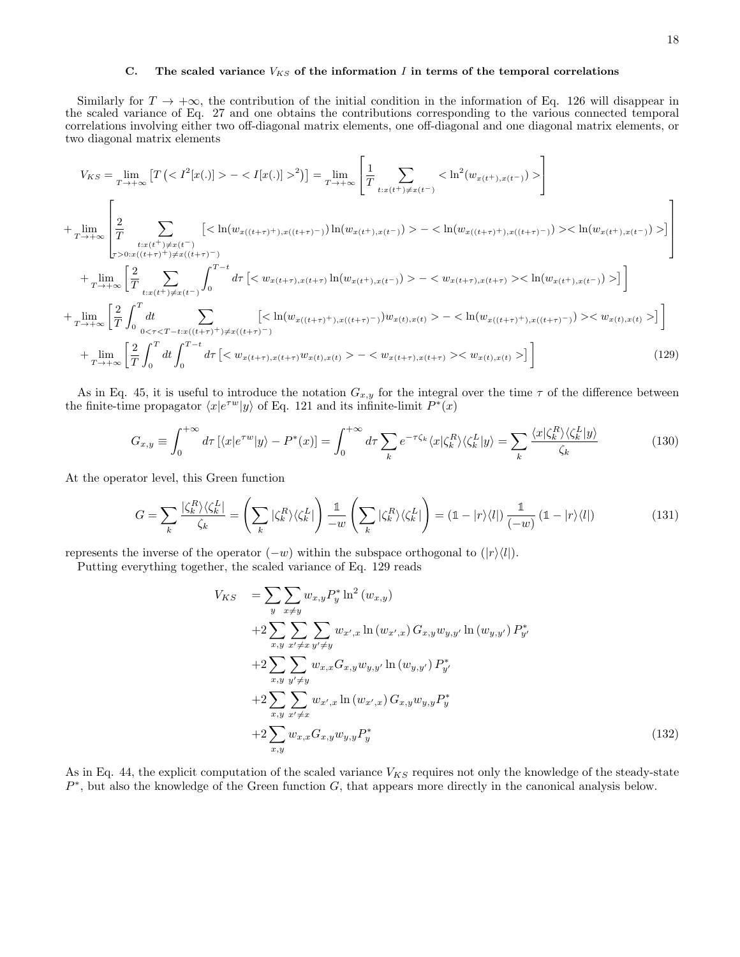# C. The scaled variance  $V_{KS}$  of the information I in terms of the temporal correlations

Similarly for  $T \to +\infty$ , the contribution of the initial condition in the information of Eq. 126 will disappear in the scaled variance of Eq. 27 and one obtains the contributions corresponding to the various connected temporal correlations involving either two off-diagonal matrix elements, one off-diagonal and one diagonal matrix elements, or two diagonal matrix elements

$$
V_{KS} = \lim_{T \to +\infty} \left[ T\left( \langle T^2[x(.)] \rangle - \langle I[x(.)] \rangle^2 \right) \right] = \lim_{T \to +\infty} \left[ \frac{1}{T} \sum_{t: x(t^+) \neq x(t^-)} \langle \ln^2(w_{x(t^+), x(t^-)} \rangle) \rangle \right]
$$
  
+ 
$$
\lim_{T \to +\infty} \left[ \frac{2}{T} \sum_{t: x(t^+) \neq x(t^-)} \left[ \langle \ln(w_{x((t+\tau)^+) , x((t+\tau)^-)} ) \ln(w_{x(t^+) , x(t^-)} \rangle) \rangle - \langle \ln(w_{x((t+\tau)^+) , x((t+\tau)^-)} ) \rangle \langle \ln(w_{x(t^+) , x(t^-)} \rangle) \rangle \right] \right]
$$
  
+ 
$$
\lim_{T \to +\infty} \left[ \frac{2}{T} \sum_{t: x(t^+) \neq x(t^-)} \int_0^{T-t} d\tau \left[ \langle w_{x(t+\tau), x(t+\tau)} \ln(w_{x(t^+) , x(t^-)} \rangle \rangle - \langle w_{x(t+\tau), x(t+\tau)} \rangle \langle \ln(w_{x(t^+) , x(t^-)} \rangle \rangle \right] \right]
$$
  
+ 
$$
\lim_{T \to +\infty} \left[ \frac{2}{T} \int_0^T dt \sum_{0 < \tau < T - t: x((t+\tau)^+) \neq x((t+\tau)^-)} \left[ \langle \ln(w_{x((t+\tau)^+) , x((t+\tau)^-)}) w_{x(t), x(t)} \rangle - \langle \ln(w_{x((t+\tau)^+) , x((t+\tau)^-)}) \rangle \langle w_{x(t), x(t)} \rangle \right] \right]
$$
  
+ 
$$
\lim_{T \to +\infty} \left[ \frac{2}{T} \int_0^T dt \int_0^{T-t} d\tau \left[ \langle w_{x(t+\tau), x(t+\tau)} w_{x(t), x(t)} \rangle - \langle w_{x(t+\tau), x(t+\tau)} \rangle \langle w_{x(t), x(t)} \rangle \right] \right]
$$
(129)

As in Eq. 45, it is useful to introduce the notation  $G_{x,y}$  for the integral over the time  $\tau$  of the difference between the finite-time propagator  $\langle x|e^{\tau w}|y\rangle$  of Eq. 121 and its infinite-limit  $P^*(x)$ 

$$
G_{x,y} \equiv \int_0^{+\infty} d\tau \left[ \langle x | e^{\tau w} | y \rangle - P^*(x) \right] = \int_0^{+\infty} d\tau \sum_k e^{-\tau \zeta_k} \langle x | \zeta_k^R \rangle \langle \zeta_k^L | y \rangle = \sum_k \frac{\langle x | \zeta_k^R \rangle \langle \zeta_k^L | y \rangle}{\zeta_k} \tag{130}
$$

At the operator level, this Green function

$$
G = \sum_{k} \frac{|\zeta_k^R\rangle\langle\zeta_k^L|}{\zeta_k} = \left(\sum_{k} |\zeta_k^R\rangle\langle\zeta_k^L|\right) \frac{1}{-w} \left(\sum_{k} |\zeta_k^R\rangle\langle\zeta_k^L|\right) = \left(1 - |r\rangle\langle l|\right) \frac{1}{(-w)} \left(1 - |r\rangle\langle l|\right) \tag{131}
$$

represents the inverse of the operator  $(-w)$  within the subspace orthogonal to  $(|r\rangle\langle l|)$ .

Putting everything together, the scaled variance of Eq. 129 reads

$$
V_{KS} = \sum_{y} \sum_{x \neq y} w_{x,y} P_{y}^{*} \ln^{2} (w_{x,y})
$$
  
+2 $\sum_{x,y} \sum_{x' \neq x} \sum_{y' \neq y} w_{x',x} \ln (w_{x',x}) G_{x,y} w_{y,y'} \ln (w_{y,y'}) P_{y'}^{*}$   
+2 $\sum_{x,y} \sum_{y' \neq y} w_{x,x} G_{x,y} w_{y,y'} \ln (w_{y,y'}) P_{y'}^{*}$   
+2 $\sum_{x,y} \sum_{x' \neq x} w_{x',x} \ln (w_{x',x}) G_{x,y} w_{y,y} P_{y}^{*}$   
+2 $\sum_{x,y} w_{x,x} G_{x,y} w_{y,y} P_{y}^{*}$  (132)

As in Eq. 44, the explicit computation of the scaled variance  $V_{KS}$  requires not only the knowledge of the steady-state  $P^*$ , but also the knowledge of the Green function  $G$ , that appears more directly in the canonical analysis below.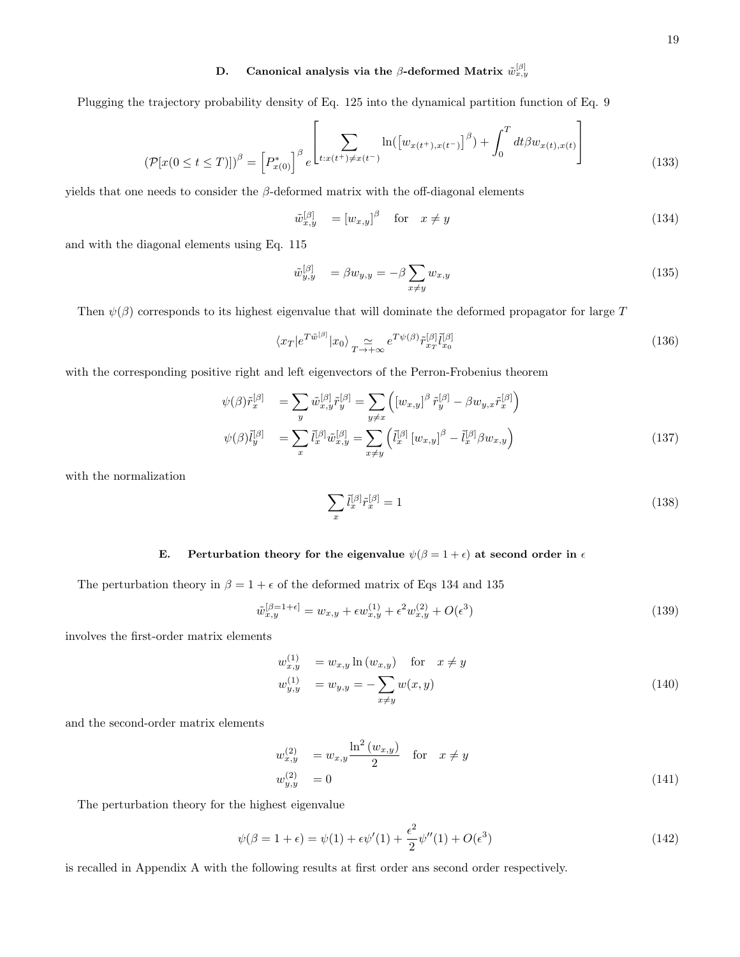# D. Canonical analysis via the  $\beta$ -deformed Matrix  $\tilde{w}_{x,y}^{[\beta]}$

Plugging the trajectory probability density of Eq. 125 into the dynamical partition function of Eq. 9

$$
(\mathcal{P}[x(0 \le t \le T)])^{\beta} = \left[P_{x(0)}^{*}\right]^{\beta} e^{\left[\sum_{t:x(t^{+}) \neq x(t^{-})} \ln(\left[w_{x(t^{+}),x(t^{-})}\right]^{\beta}) + \int_{0}^{T} dt \beta w_{x(t),x(t)}\right]}
$$
(133)

yields that one needs to consider the  $\beta$ -deformed matrix with the off-diagonal elements

$$
\tilde{w}_{x,y}^{[\beta]} = [w_{x,y}]^{\beta} \quad \text{for} \quad x \neq y \tag{134}
$$

and with the diagonal elements using Eq. 115

$$
\tilde{w}_{y,y}^{[\beta]} = \beta w_{y,y} = -\beta \sum_{x \neq y} w_{x,y}
$$
\n(135)

Then  $\psi(\beta)$  corresponds to its highest eigenvalue that will dominate the deformed propagator for large T

$$
\langle x_T | e^{T\tilde{w}^{[\beta]}} | x_0 \rangle \underset{T \to +\infty}{\simeq} e^{T\psi(\beta)} \tilde{r}_{x_T}^{[\beta]} \tilde{l}_{x_0}^{[\beta]} \tag{136}
$$

with the corresponding positive right and left eigenvectors of the Perron-Frobenius theorem

$$
\psi(\beta)\tilde{r}_x^{[\beta]} = \sum_y \tilde{w}_{x,y}^{[\beta]}\tilde{r}_y^{[\beta]} = \sum_{y \neq x} \left( [w_{x,y}]^{\beta} \tilde{r}_y^{[\beta]} - \beta w_{y,x}\tilde{r}_x^{[\beta]} \right) \n\psi(\beta)\tilde{l}_y^{[\beta]} = \sum_x \tilde{l}_x^{[\beta]}\tilde{w}_{x,y}^{[\beta]} = \sum_{x \neq y} \left( \tilde{l}_x^{[\beta]} \left[ w_{x,y} \right]^{\beta} - \tilde{l}_x^{[\beta]} \beta w_{x,y} \right)
$$
\n(137)

with the normalization

$$
\sum_{x} \tilde{l}_x^{[\beta]} \tilde{r}_x^{[\beta]} = 1 \tag{138}
$$

### E. Perturbation theory for the eigenvalue  $\psi(\beta = 1 + \epsilon)$  at second order in  $\epsilon$

The perturbation theory in  $\beta = 1 + \epsilon$  of the deformed matrix of Eqs 134 and 135

$$
\tilde{w}_{x,y}^{[\beta=1+\epsilon]} = w_{x,y} + \epsilon w_{x,y}^{(1)} + \epsilon^2 w_{x,y}^{(2)} + O(\epsilon^3)
$$
\n(139)

involves the first-order matrix elements

$$
w_{x,y}^{(1)} = w_{x,y} \ln(w_{x,y}) \quad \text{for} \quad x \neq y
$$
  
\n
$$
w_{y,y}^{(1)} = w_{y,y} = -\sum_{x \neq y} w(x,y)
$$
\n(140)

and the second-order matrix elements

$$
w_{x,y}^{(2)} = w_{x,y} \frac{\ln^2(w_{x,y})}{2} \quad \text{for} \quad x \neq y
$$
  

$$
w_{y,y}^{(2)} = 0 \tag{141}
$$

The perturbation theory for the highest eigenvalue

$$
\psi(\beta = 1 + \epsilon) = \psi(1) + \epsilon \psi'(1) + \frac{\epsilon^2}{2} \psi''(1) + O(\epsilon^3)
$$
\n(142)

is recalled in Appendix A with the following results at first order ans second order respectively.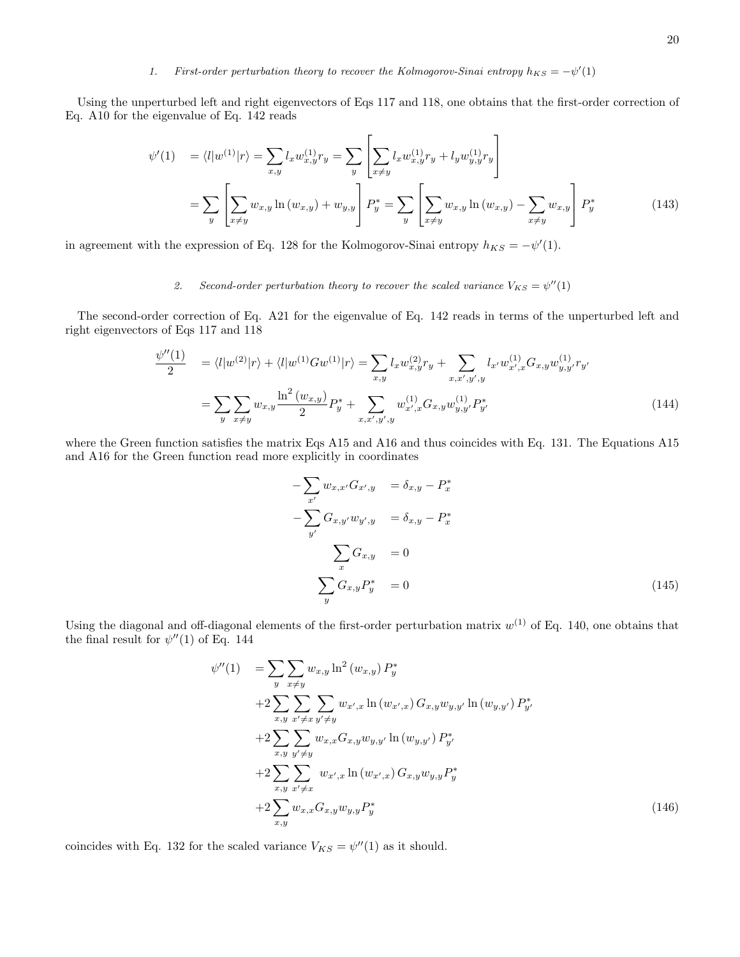# 1. First-order perturbation theory to recover the Kolmogorov-Sinai entropy  $h_{KS} = -\psi'(1)$

Using the unperturbed left and right eigenvectors of Eqs 117 and 118, one obtains that the first-order correction of Eq. A10 for the eigenvalue of Eq. 142 reads

$$
\psi'(1) = \langle l|w^{(1)}|r\rangle = \sum_{x,y} l_x w_{x,y}^{(1)} r_y = \sum_y \left[ \sum_{x \neq y} l_x w_{x,y}^{(1)} r_y + l_y w_{y,y}^{(1)} r_y \right]
$$

$$
= \sum_y \left[ \sum_{x \neq y} w_{x,y} \ln(w_{x,y}) + w_{y,y} \right] P_y^* = \sum_y \left[ \sum_{x \neq y} w_{x,y} \ln(w_{x,y}) - \sum_{x \neq y} w_{x,y} \right] P_y^* \tag{143}
$$

in agreement with the expression of Eq. 128 for the Kolmogorov-Sinai entropy  $h_{KS} = -\psi'(1)$ .

# 2. Second-order perturbation theory to recover the scaled variance  $V_{KS} = \psi''(1)$

The second-order correction of Eq. A21 for the eigenvalue of Eq. 142 reads in terms of the unperturbed left and right eigenvectors of Eqs 117 and 118

$$
\frac{\psi''(1)}{2} = \langle l|w^{(2)}|r\rangle + \langle l|w^{(1)}Gw^{(1)}|r\rangle = \sum_{x,y} l_x w_{x,y}^{(2)} r_y + \sum_{x,x',y',y} l_{x'} w_{x',x}^{(1)} G_{x,y} w_{y,y'}^{(1)} r_{y'}
$$

$$
= \sum_{y} \sum_{x \neq y} w_{x,y} \frac{\ln^2(w_{x,y})}{2} P_y^* + \sum_{x,x',y',y} w_{x',x}^{(1)} G_{x,y} w_{y,y'}^{(1)} P_{y'}^* \tag{144}
$$

where the Green function satisfies the matrix Eqs A15 and A16 and thus coincides with Eq. 131. The Equations A15 and A16 for the Green function read more explicitly in coordinates

$$
-\sum_{x'} w_{x,x'} G_{x',y} = \delta_{x,y} - P_x^*
$$
  

$$
-\sum_{y'} G_{x,y'} w_{y',y} = \delta_{x,y} - P_x^*
$$
  

$$
\sum_{x} G_{x,y} = 0
$$
  

$$
\sum_{y} G_{x,y} P_y^* = 0
$$
 (145)

Using the diagonal and off-diagonal elements of the first-order perturbation matrix  $w^{(1)}$  of Eq. 140, one obtains that the final result for  $\psi''(1)$  of Eq. 144

$$
\psi''(1) = \sum_{y} \sum_{x \neq y} w_{x,y} \ln^2(w_{x,y}) P_y^*
$$
  
+2
$$
\sum_{x,y} \sum_{x' \neq x} \sum_{y' \neq y} w_{x',x} \ln(w_{x',x}) G_{x,y} w_{y,y'} \ln(w_{y,y'}) P_{y'}^*
$$
  
+2
$$
\sum_{x,y} \sum_{y' \neq y} w_{x,x} G_{x,y} w_{y,y'} \ln(w_{y,y'}) P_{y'}^*
$$
  
+2
$$
\sum_{x,y} \sum_{x' \neq x} w_{x',x} \ln(w_{x',x}) G_{x,y} w_{y,y} P_{y}^*
$$
  
+2
$$
\sum_{x,y} w_{x,x} G_{x,y} w_{y,y} P_{y}^*
$$
  
(146)

coincides with Eq. 132 for the scaled variance  $V_{KS} = \psi''(1)$  as it should.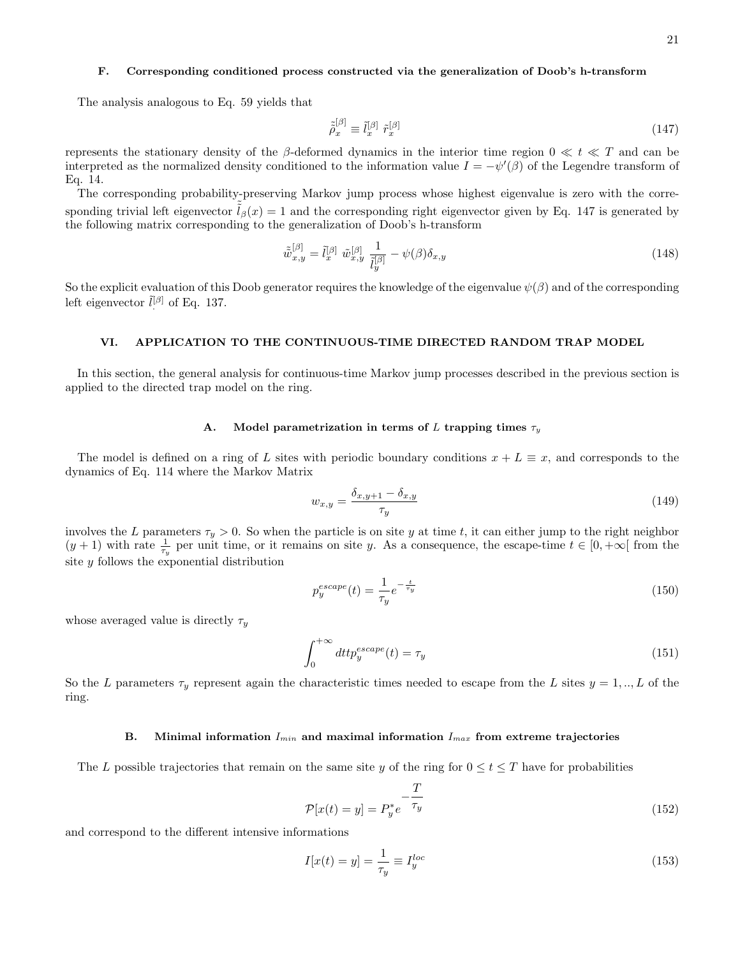# F. Corresponding conditioned process constructed via the generalization of Doob's h-transform

The analysis analogous to Eq. 59 yields that

$$
\tilde{\tilde{\rho}}_x^{[\beta]} \equiv \tilde{l}_x^{[\beta]} \tilde{r}_x^{[\beta]} \tag{147}
$$

represents the stationary density of the β-deformed dynamics in the interior time region  $0 \ll t \ll T$  and can be interpreted as the normalized density conditioned to the information value  $I = -\psi'(\beta)$  of the Legendre transform of Eq. 14.

The corresponding probability-preserving Markov jump process whose highest eigenvalue is zero with the corresponding trivial left eigenvector  $l_\beta(x) = 1$  and the corresponding right eigenvector given by Eq. 147 is generated by the following matrix corresponding to the generalization of Doob's h-transform

$$
\tilde{\tilde{w}}_{x,y}^{[\beta]} = \tilde{l}_x^{[\beta]} \tilde{w}_{x,y}^{[\beta]} \frac{1}{\tilde{l}_y^{[\beta]}} - \psi(\beta)\delta_{x,y} \tag{148}
$$

So the explicit evaluation of this Doob generator requires the knowledge of the eigenvalue  $\psi(\beta)$  and of the corresponding left eigenvector  $\tilde{l}^{[\beta]}$  of Eq. 137.

## VI. APPLICATION TO THE CONTINUOUS-TIME DIRECTED RANDOM TRAP MODEL

In this section, the general analysis for continuous-time Markov jump processes described in the previous section is applied to the directed trap model on the ring.

#### A. Model parametrization in terms of L trapping times  $\tau_y$

The model is defined on a ring of L sites with periodic boundary conditions  $x + L \equiv x$ , and corresponds to the dynamics of Eq. 114 where the Markov Matrix

$$
w_{x,y} = \frac{\delta_{x,y+1} - \delta_{x,y}}{\tau_y} \tag{149}
$$

involves the L parameters  $\tau_y > 0$ . So when the particle is on site y at time t, it can either jump to the right neighbor  $(y + 1)$  with rate  $\frac{1}{\tau_y}$  per unit time, or it remains on site y. As a consequence, the escape-time  $t \in [0, +\infty[$  from the site y follows the exponential distribution

$$
p_y^{escape}(t) = \frac{1}{\tau_y} e^{-\frac{t}{\tau_y}}
$$
\n
$$
(150)
$$

whose averaged value is directly  $\tau_y$ 

$$
\int_{0}^{+\infty} dt t p_y^{escape}(t) = \tau_y \tag{151}
$$

So the L parameters  $\tau_y$  represent again the characteristic times needed to escape from the L sites  $y = 1, ..., L$  of the ring.

## B. Minimal information  $I_{min}$  and maximal information  $I_{max}$  from extreme trajectories

The L possible trajectories that remain on the same site y of the ring for  $0 \le t \le T$  have for probabilities

$$
\mathcal{P}[x(t) = y] = P_y^* e^{-\frac{T}{\tau_y}}
$$
\n(152)

and correspond to the different intensive informations

$$
I[x(t) = y] = \frac{1}{\tau_y} \equiv I_y^{loc}
$$
\n(153)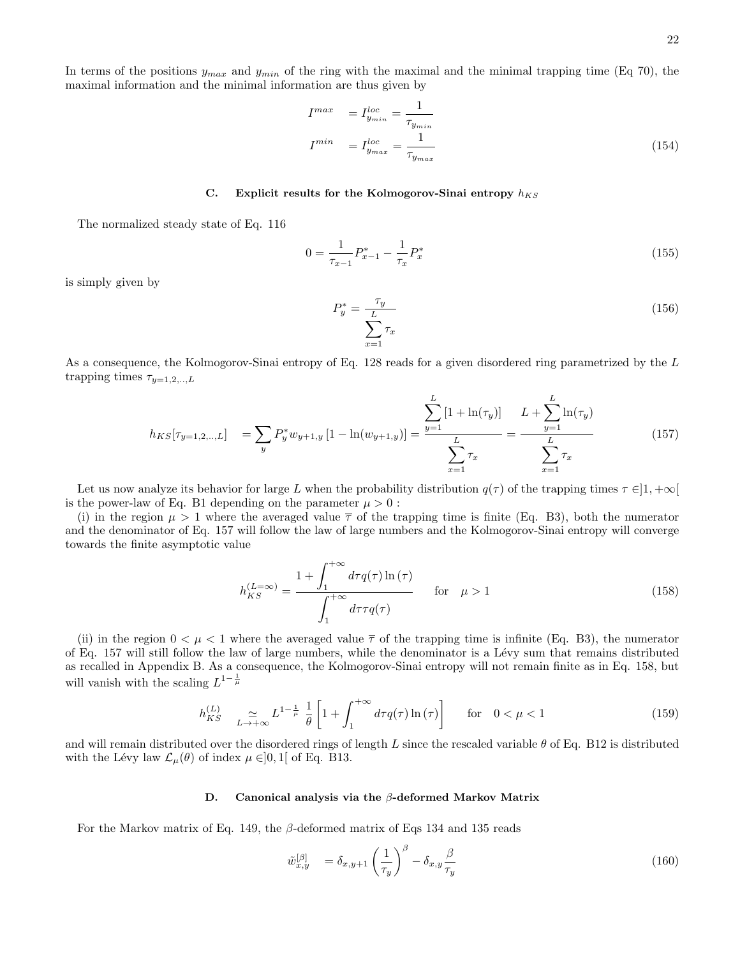In terms of the positions  $y_{max}$  and  $y_{min}$  of the ring with the maximal and the minimal trapping time (Eq 70), the maximal information and the minimal information are thus given by

$$
I^{max} = I^{loc}_{y_{min}} = \frac{1}{\tau_{y_{min}}} I^{min} = I^{loc}_{y_{max}} = \frac{1}{\tau_{y_{max}}} \tag{154}
$$

# C. Explicit results for the Kolmogorov-Sinai entropy  $h_{KS}$

The normalized steady state of Eq. 116

$$
0 = \frac{1}{\tau_{x-1}} P_{x-1}^* - \frac{1}{\tau_x} P_x^* \tag{155}
$$

is simply given by

$$
P_y^* = \frac{\tau_y}{\sum_{x=1}^L \tau_x} \tag{156}
$$

As a consequence, the Kolmogorov-Sinai entropy of Eq. 128 reads for a given disordered ring parametrized by the L trapping times  $\tau_{y=1,2,..,L}$ 

$$
h_{KS}[\tau_{y=1,2,\dots,L}] = \sum_{y} P_y^* w_{y+1,y} \left[ 1 - \ln(w_{y+1,y}) \right] = \frac{\sum_{y=1}^{L} \left[ 1 + \ln(\tau_y) \right]}{\sum_{x=1}^{L} \tau_x} = \frac{\sum_{y=1}^{L} \ln(\tau_y)}{\sum_{x=1}^{L} \tau_x} \tag{157}
$$

Let us now analyze its behavior for large L when the probability distribution  $q(\tau)$  of the trapping times  $\tau \in ]1, +\infty[$ is the power-law of Eq. B1 depending on the parameter  $\mu > 0$ :

(i) in the region  $\mu > 1$  where the averaged value  $\bar{\tau}$  of the trapping time is finite (Eq. B3), both the numerator and the denominator of Eq. 157 will follow the law of large numbers and the Kolmogorov-Sinai entropy will converge towards the finite asymptotic value

$$
h_{KS}^{(L=\infty)} = \frac{1 + \int_1^{+\infty} d\tau q(\tau) \ln(\tau)}{\int_1^{+\infty} d\tau \tau q(\tau)} \quad \text{for} \quad \mu > 1
$$
 (158)

(ii) in the region  $0 < \mu < 1$  where the averaged value  $\overline{\tau}$  of the trapping time is infinite (Eq. B3), the numerator of Eq. 157 will still follow the law of large numbers, while the denominator is a L´evy sum that remains distributed as recalled in Appendix B. As a consequence, the Kolmogorov-Sinai entropy will not remain finite as in Eq. 158, but will vanish with the scaling  $L^{1-\frac{1}{\mu}}$ 

$$
h_{KS}^{(L)} \quad \underset{L \to +\infty}{\simeq} L^{1-\frac{1}{\mu}} \frac{1}{\theta} \left[ 1 + \int_{1}^{+\infty} d\tau q(\tau) \ln(\tau) \right] \qquad \text{for} \quad 0 < \mu < 1 \tag{159}
$$

and will remain distributed over the disordered rings of length L since the rescaled variable  $\theta$  of Eq. B12 is distributed with the Lévy law  $\mathcal{L}_{\mu}(\theta)$  of index  $\mu \in ]0,1[$  of Eq. B13.

#### D. Canonical analysis via the β-deformed Markov Matrix

For the Markov matrix of Eq. 149, the  $\beta$ -deformed matrix of Eqs 134 and 135 reads

$$
\tilde{w}_{x,y}^{[\beta]} = \delta_{x,y+1} \left(\frac{1}{\tau_y}\right)^{\beta} - \delta_{x,y} \frac{\beta}{\tau_y} \tag{160}
$$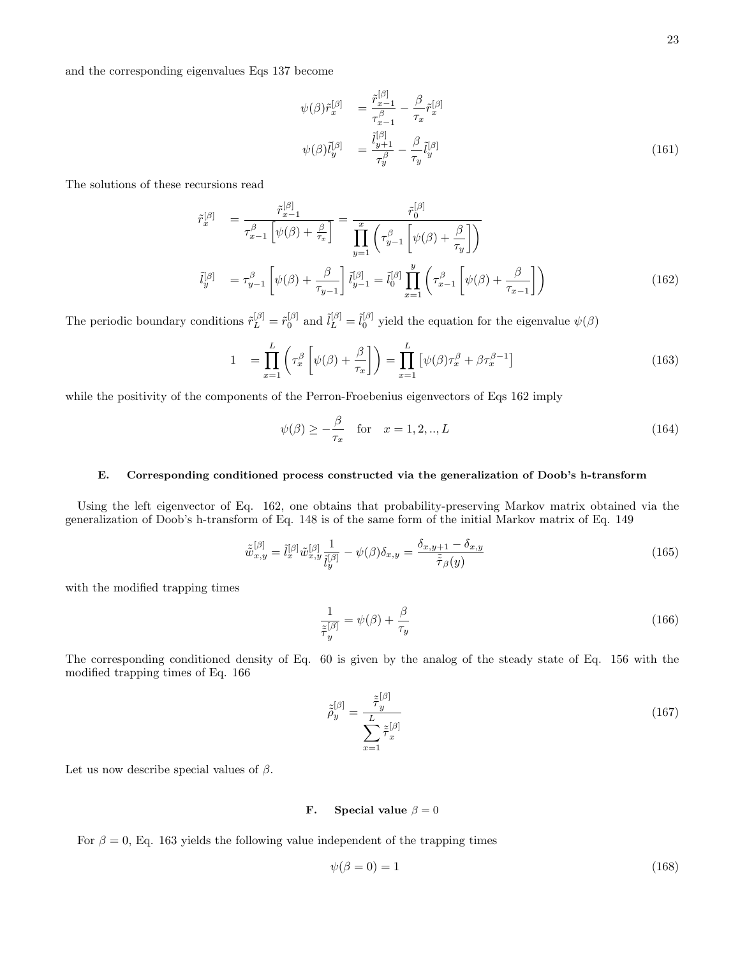and the corresponding eigenvalues Eqs 137 become

$$
\psi(\beta)\tilde{r}_x^{[\beta]} = \frac{\tilde{r}_{x-1}^{[\beta]}}{\tau_{x-1}^{\beta}} - \frac{\beta}{\tau_x}\tilde{r}_x^{[\beta]}
$$

$$
\psi(\beta)\tilde{l}_y^{[\beta]} = \frac{\tilde{l}_{y+1}^{[\beta]}}{\tau_y^{\beta}} - \frac{\beta}{\tau_y}\tilde{l}_y^{[\beta]}
$$
(161)

The solutions of these recursions read

$$
\tilde{r}_{x}^{[\beta]} = \frac{\tilde{r}_{x-1}^{[\beta]}}{\tau_{x-1}^{\beta} \left[ \psi(\beta) + \frac{\beta}{\tau_{x}} \right]} = \frac{\tilde{r}_{0}^{[\beta]}}{\prod_{y=1}^{x} \left( \tau_{y-1}^{\beta} \left[ \psi(\beta) + \frac{\beta}{\tau_{y}} \right] \right)}
$$
\n
$$
\tilde{l}_{y}^{[\beta]} = \tau_{y-1}^{\beta} \left[ \psi(\beta) + \frac{\beta}{\tau_{y-1}} \right] \tilde{l}_{y-1}^{[\beta]} = \tilde{l}_{0}^{[\beta]} \prod_{x=1}^{y} \left( \tau_{x-1}^{\beta} \left[ \psi(\beta) + \frac{\beta}{\tau_{x-1}} \right] \right)
$$
\n(162)

The periodic boundary conditions  $\tilde{r}_L^{[\beta]} = \tilde{r}_0^{[\beta]}$  and  $\tilde{l}_L^{[\beta]} = \tilde{l}_0^{[\beta]}$  yield the equation for the eigenvalue  $\psi(\beta)$ 

$$
1 = \prod_{x=1}^{L} \left( \tau_x^{\beta} \left[ \psi(\beta) + \frac{\beta}{\tau_x} \right] \right) = \prod_{x=1}^{L} \left[ \psi(\beta) \tau_x^{\beta} + \beta \tau_x^{\beta - 1} \right]
$$
(163)

while the positivity of the components of the Perron-Froebenius eigenvectors of Eqs 162 imply

$$
\psi(\beta) \ge -\frac{\beta}{\tau_x} \quad \text{for} \quad x = 1, 2, \dots, L \tag{164}
$$

#### E. Corresponding conditioned process constructed via the generalization of Doob's h-transform

Using the left eigenvector of Eq. 162, one obtains that probability-preserving Markov matrix obtained via the generalization of Doob's h-transform of Eq. 148 is of the same form of the initial Markov matrix of Eq. 149

$$
\tilde{\tilde{w}}_{x,y}^{[\beta]} = \tilde{l}_x^{[\beta]}\tilde{w}_{x,y}^{[\beta]} \frac{1}{\tilde{l}_y^{[\beta]}} - \psi(\beta)\delta_{x,y} = \frac{\delta_{x,y+1} - \delta_{x,y}}{\tilde{\tilde{\tau}}_{\beta}(y)}
$$
\n(165)

with the modified trapping times

$$
\frac{1}{\tilde{\tau}_y^{[\beta]}} = \psi(\beta) + \frac{\beta}{\tau_y} \tag{166}
$$

The corresponding conditioned density of Eq. 60 is given by the analog of the steady state of Eq. 156 with the modified trapping times of Eq. 166

$$
\tilde{\tilde{\rho}}_y^{[\beta]} = \frac{\tilde{\tilde{\tau}}_y^{[\beta]}}{\sum_{x=1}^L \tilde{\tilde{\tau}}_x^{[\beta]}}\tag{167}
$$

Let us now describe special values of  $\beta$ .

# **F.** Special value  $\beta = 0$

For  $\beta = 0$ , Eq. 163 yields the following value independent of the trapping times

$$
\psi(\beta = 0) = 1\tag{168}
$$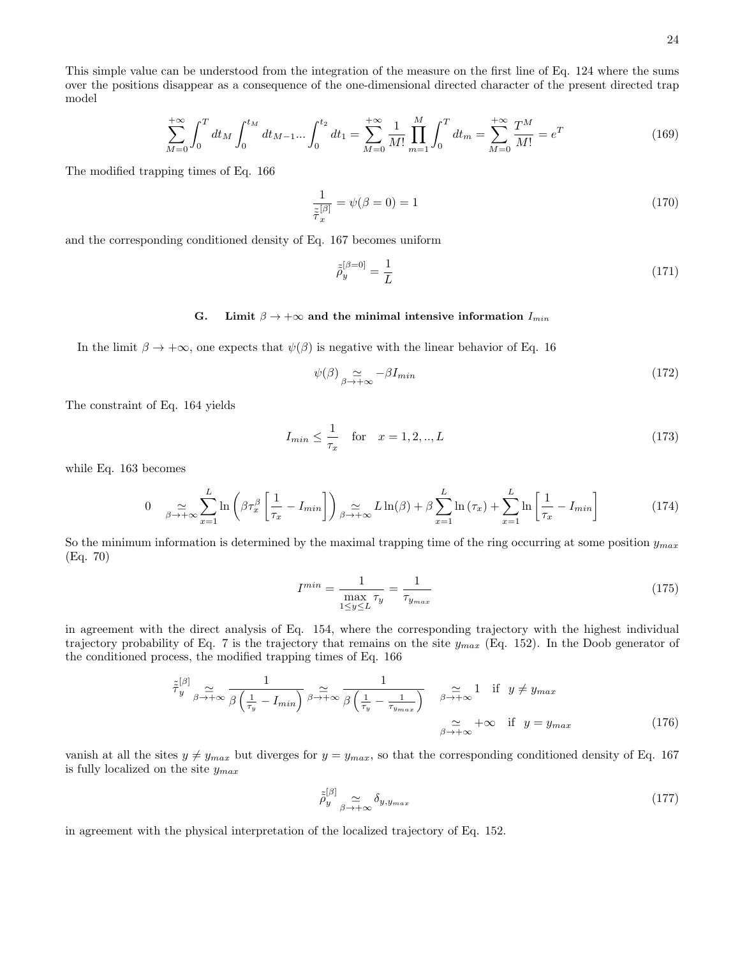This simple value can be understood from the integration of the measure on the first line of Eq. 124 where the sums over the positions disappear as a consequence of the one-dimensional directed character of the present directed trap model

$$
\sum_{M=0}^{+\infty} \int_0^T dt_M \int_0^{t_M} dt_{M-1} \dots \int_0^{t_2} dt_1 = \sum_{M=0}^{+\infty} \frac{1}{M!} \prod_{m=1}^M \int_0^T dt_m = \sum_{M=0}^{+\infty} \frac{T^M}{M!} = e^T
$$
(169)

The modified trapping times of Eq. 166

$$
\frac{1}{\tilde{\tau}_x^{[\beta]}} = \psi(\beta = 0) = 1\tag{170}
$$

and the corresponding conditioned density of Eq. 167 becomes uniform

$$
\tilde{\tilde{\rho}}_y^{[\beta=0]} = \frac{1}{L} \tag{171}
$$

# G. Limit  $\beta \to +\infty$  and the minimal intensive information  $I_{min}$

In the limit  $\beta \to +\infty$ , one expects that  $\psi(\beta)$  is negative with the linear behavior of Eq. 16

$$
\psi(\beta) \underset{\beta \to +\infty}{\simeq} -\beta I_{min} \tag{172}
$$

The constraint of Eq. 164 yields

$$
I_{min} \le \frac{1}{\tau_x} \quad \text{for} \quad x = 1, 2, ..., L \tag{173}
$$

while Eq. 163 becomes

$$
0 \quad \sum_{\beta \to +\infty} \sum_{x=1}^{L} \ln\left(\beta \tau_x^{\beta} \left[\frac{1}{\tau_x} - I_{min}\right]\right) \underset{\beta \to +\infty}{\simeq} L \ln(\beta) + \beta \sum_{x=1}^{L} \ln\left(\tau_x\right) + \sum_{x=1}^{L} \ln\left[\frac{1}{\tau_x} - I_{min}\right] \tag{174}
$$

So the minimum information is determined by the maximal trapping time of the ring occurring at some position  $y_{max}$ (Eq. 70)

$$
I^{min} = \frac{1}{\max_{1 \le y \le L} \tau_y} = \frac{1}{\tau_{y_{max}}} \tag{175}
$$

in agreement with the direct analysis of Eq. 154, where the corresponding trajectory with the highest individual trajectory probability of Eq. 7 is the trajectory that remains on the site  $y_{max}$  (Eq. 152). In the Doob generator of the conditioned process, the modified trapping times of Eq. 166

$$
\tilde{\tau}_{y}^{[\beta]} \underset{\beta \to +\infty}{\simeq} \frac{1}{\beta \left(\frac{1}{\tau_{y}} - I_{min}\right)} \underset{\beta \to +\infty}{\simeq} \frac{1}{\beta \left(\frac{1}{\tau_{y}} - \frac{1}{\tau_{y_{max}}}\right)} \underset{\beta \to +\infty}{\simeq} \frac{1}{\beta \to +\infty} \text{ if } y \neq y_{max} \tag{176}
$$

vanish at all the sites  $y \neq y_{max}$  but diverges for  $y = y_{max}$ , so that the corresponding conditioned density of Eq. 167 is fully localized on the site  $y_{max}$ 

$$
\tilde{\tilde{\rho}}_y^{[\beta]} \underset{\beta \to +\infty}{\simeq} \delta_{y, y_{max}} \tag{177}
$$

in agreement with the physical interpretation of the localized trajectory of Eq. 152.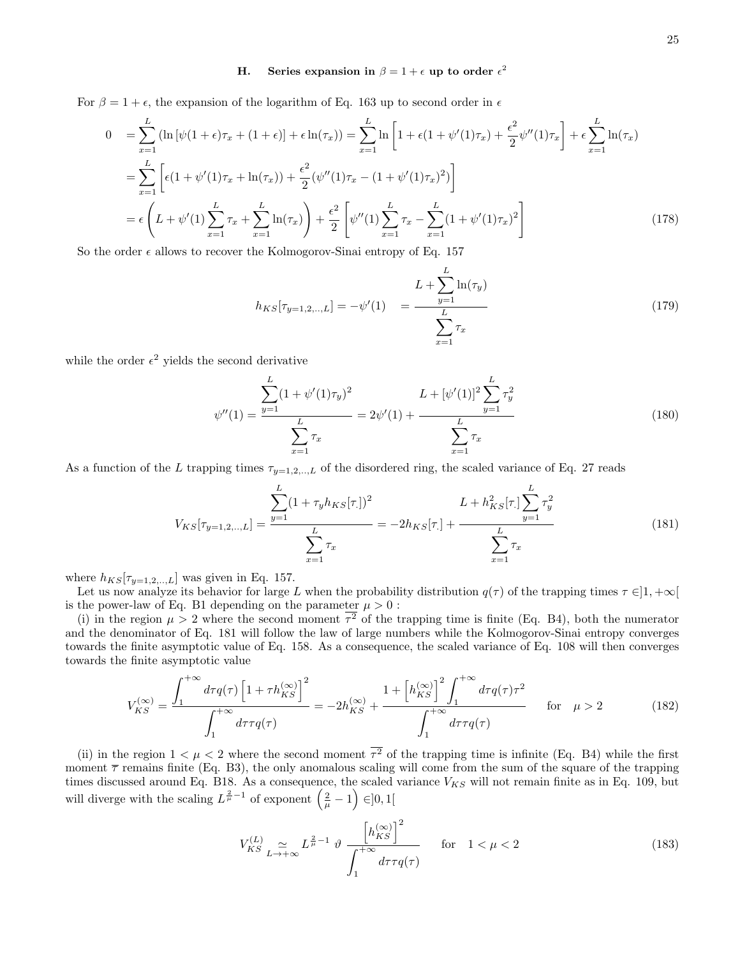# H. Series expansion in  $\beta = 1 + \epsilon$  up to order  $\epsilon^2$

For  $\beta = 1 + \epsilon$ , the expansion of the logarithm of Eq. 163 up to second order in  $\epsilon$ 

$$
0 = \sum_{x=1}^{L} (\ln [\psi(1+\epsilon)\tau_x + (1+\epsilon)] + \epsilon \ln(\tau_x)) = \sum_{x=1}^{L} \ln \left[ 1 + \epsilon (1 + \psi'(1)\tau_x) + \frac{\epsilon^2}{2} \psi''(1)\tau_x \right] + \epsilon \sum_{x=1}^{L} \ln(\tau_x)
$$
  
\n
$$
= \sum_{x=1}^{L} \left[ \epsilon (1 + \psi'(1)\tau_x + \ln(\tau_x)) + \frac{\epsilon^2}{2} (\psi''(1)\tau_x - (1 + \psi'(1)\tau_x)^2) \right]
$$
  
\n
$$
= \epsilon \left( L + \psi'(1) \sum_{x=1}^{L} \tau_x + \sum_{x=1}^{L} \ln(\tau_x) \right) + \frac{\epsilon^2}{2} \left[ \psi''(1) \sum_{x=1}^{L} \tau_x - \sum_{x=1}^{L} (1 + \psi'(1)\tau_x)^2 \right]
$$
(178)

So the order  $\epsilon$  allows to recover the Kolmogorov-Sinai entropy of Eq. 157

$$
h_{KS}[\tau_{y=1,2,\dots,L}] = -\psi'(1) = \frac{L + \sum_{y=1}^{L} \ln(\tau_y)}{\sum_{x=1}^{L} \tau_x} \tag{179}
$$

while the order  $\epsilon^2$  yields the second derivative

$$
\psi''(1) = \frac{\sum_{y=1}^{L} (1 + \psi'(1)\tau_y)^2}{\sum_{x=1}^{L} \tau_x} = 2\psi'(1) + \frac{L + [\psi'(1)]^2 \sum_{y=1}^{L} \tau_y^2}{\sum_{x=1}^{L} \tau_x}
$$
\n(180)

As a function of the L trapping times  $\tau_{y=1,2,..,L}$  of the disordered ring, the scaled variance of Eq. 27 reads

$$
V_{KS}[\tau_{y=1,2,\dots,L}] = \frac{\sum_{y=1}^{L} (1 + \tau_y h_{KS}[\tau])^2}{\sum_{x=1}^{L} \tau_x} = -2h_{KS}[\tau] + \frac{L + h_{KS}^2[\tau] \sum_{y=1}^{L} \tau_y^2}{\sum_{x=1}^{L} \tau_x}
$$
(181)

where  $h_{KS}[\tau_{y=1,2,..,L}]$  was given in Eq. 157.

Let us now analyze its behavior for large L when the probability distribution  $q(\tau)$  of the trapping times  $\tau \in ]1, +\infty[$ is the power-law of Eq. B1 depending on the parameter  $\mu > 0$ :

(i) in the region  $\mu > 2$  where the second moment  $\tau^2$  of the trapping time is finite (Eq. B4), both the numerator and the denominator of Eq. 181 will follow the law of large numbers while the Kolmogorov-Sinai entropy converges towards the finite asymptotic value of Eq. 158. As a consequence, the scaled variance of Eq. 108 will then converges towards the finite asymptotic value

$$
V_{KS}^{(\infty)} = \frac{\int_{1}^{+\infty} d\tau q(\tau) \left[1 + \tau h_{KS}^{(\infty)}\right]^{2}}{\int_{1}^{+\infty} d\tau \tau q(\tau)} = -2h_{KS}^{(\infty)} + \frac{1 + \left[h_{KS}^{(\infty)}\right]_{1}^{2} \int_{1}^{+\infty} d\tau q(\tau) \tau^{2}}{\int_{1}^{+\infty} d\tau \tau q(\tau)} \quad \text{for} \quad \mu > 2 \tag{182}
$$

(ii) in the region  $1 < \mu < 2$  where the second moment  $\tau^2$  of the trapping time is infinite (Eq. B4) while the first moment  $\bar{\tau}$  remains finite (Eq. B3), the only anomalous scaling will come from the sum of the square of the trapping times discussed around Eq. B18. As a consequence, the scaled variance  $V_{KS}$  will not remain finite as in Eq. 109, but will diverge with the scaling  $L^{\frac{2}{\mu}-1}$  of exponent  $(\frac{2}{\mu}-1) \in ]0,1[$ 

$$
V_{KS}^{(L)} \underset{L \to +\infty}{\simeq} L^{\frac{2}{\mu}-1} \vartheta \frac{\left[h_{KS}^{(\infty)}\right]^{2}}{\int_{1}^{+\infty} d\tau \tau q(\tau)} \quad \text{for} \quad 1 < \mu < 2 \tag{183}
$$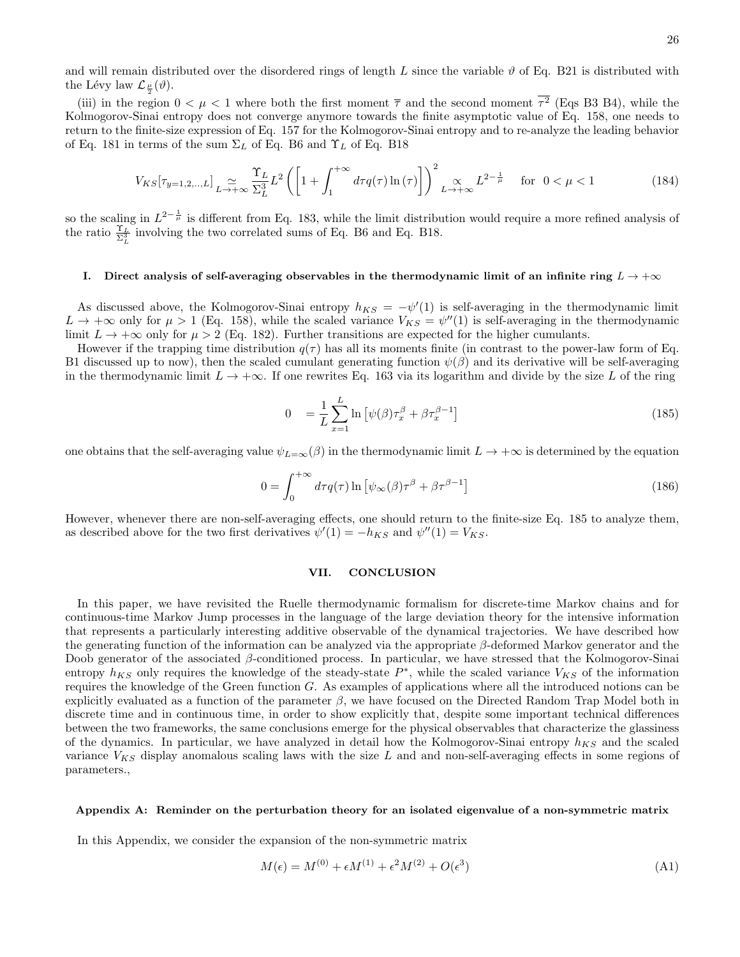and will remain distributed over the disordered rings of length L since the variable  $\vartheta$  of Eq. B21 is distributed with the Lévy law  $\mathcal{L}_{\frac{\mu}{2}}(\vartheta)$ .

(iii) in the region  $0 < \mu < 1$  where both the first moment  $\bar{\tau}$  and the second moment  $\tau^2$  (Eqs B3 B4), while the Kolmogorov-Sinai entropy does not converge anymore towards the finite asymptotic value of Eq. 158, one needs to return to the finite-size expression of Eq. 157 for the Kolmogorov-Sinai entropy and to re-analyze the leading behavior of Eq. 181 in terms of the sum  $\Sigma_L$  of Eq. B6 and  $\Upsilon_L$  of Eq. B18

$$
V_{KS}[\tau_{y=1,2,\dots,L}] \underset{L \to +\infty}{\simeq} \frac{\Upsilon_L}{\Sigma_L^3} L^2 \left( \left[ 1 + \int_1^{+\infty} d\tau q(\tau) \ln(\tau) \right] \right)^2 \underset{L \to +\infty}{\simeq} L^{2 - \frac{1}{\mu}} \quad \text{for } 0 < \mu < 1 \tag{184}
$$

so the scaling in  $L^{2-\frac{1}{\mu}}$  is different from Eq. 183, while the limit distribution would require a more refined analysis of the ratio  $\frac{\Upsilon_L}{\Sigma_L^3}$  involving the two correlated sums of Eq. B6 and Eq. B18.

# I. Direct analysis of self-averaging observables in the thermodynamic limit of an infinite ring  $L \to +\infty$

As discussed above, the Kolmogorov-Sinai entropy  $h_{KS} = -\psi'(1)$  is self-averaging in the thermodynamic limit  $L \to +\infty$  only for  $\mu > 1$  (Eq. 158), while the scaled variance  $V_{KS} = \psi''(1)$  is self-averaging in the thermodynamic limit  $L \to +\infty$  only for  $\mu > 2$  (Eq. 182). Further transitions are expected for the higher cumulants.

However if the trapping time distribution  $q(\tau)$  has all its moments finite (in contrast to the power-law form of Eq. B1 discussed up to now), then the scaled cumulant generating function  $\psi(\beta)$  and its derivative will be self-averaging in the thermodynamic limit  $L \to +\infty$ . If one rewrites Eq. 163 via its logarithm and divide by the size L of the ring

$$
0 = \frac{1}{L} \sum_{x=1}^{L} \ln \left[ \psi(\beta) \tau_x^{\beta} + \beta \tau_x^{\beta - 1} \right]
$$
\n(185)

one obtains that the self-averaging value  $\psi_{L=\infty}(\beta)$  in the thermodynamic limit  $L \to +\infty$  is determined by the equation

$$
0 = \int_0^{+\infty} d\tau q(\tau) \ln \left[ \psi_\infty(\beta) \tau^\beta + \beta \tau^{\beta - 1} \right]
$$
 (186)

However, whenever there are non-self-averaging effects, one should return to the finite-size Eq. 185 to analyze them, as described above for the two first derivatives  $\psi'(1) = -h_{KS}$  and  $\psi''(1) = V_{KS}$ .

#### VII. CONCLUSION

In this paper, we have revisited the Ruelle thermodynamic formalism for discrete-time Markov chains and for continuous-time Markov Jump processes in the language of the large deviation theory for the intensive information that represents a particularly interesting additive observable of the dynamical trajectories. We have described how the generating function of the information can be analyzed via the appropriate β-deformed Markov generator and the Doob generator of the associated  $\beta$ -conditioned process. In particular, we have stressed that the Kolmogorov-Sinai entropy  $h_{KS}$  only requires the knowledge of the steady-state  $P^*$ , while the scaled variance  $V_{KS}$  of the information requires the knowledge of the Green function G. As examples of applications where all the introduced notions can be explicitly evaluated as a function of the parameter  $\beta$ , we have focused on the Directed Random Trap Model both in discrete time and in continuous time, in order to show explicitly that, despite some important technical differences between the two frameworks, the same conclusions emerge for the physical observables that characterize the glassiness of the dynamics. In particular, we have analyzed in detail how the Kolmogorov-Sinai entropy  $h_{KS}$  and the scaled variance  $V_{KS}$  display anomalous scaling laws with the size L and and non-self-averaging effects in some regions of parameters.,

# Appendix A: Reminder on the perturbation theory for an isolated eigenvalue of a non-symmetric matrix

In this Appendix, we consider the expansion of the non-symmetric matrix

$$
M(\epsilon) = M^{(0)} + \epsilon M^{(1)} + \epsilon^2 M^{(2)} + O(\epsilon^3)
$$
\n(A1)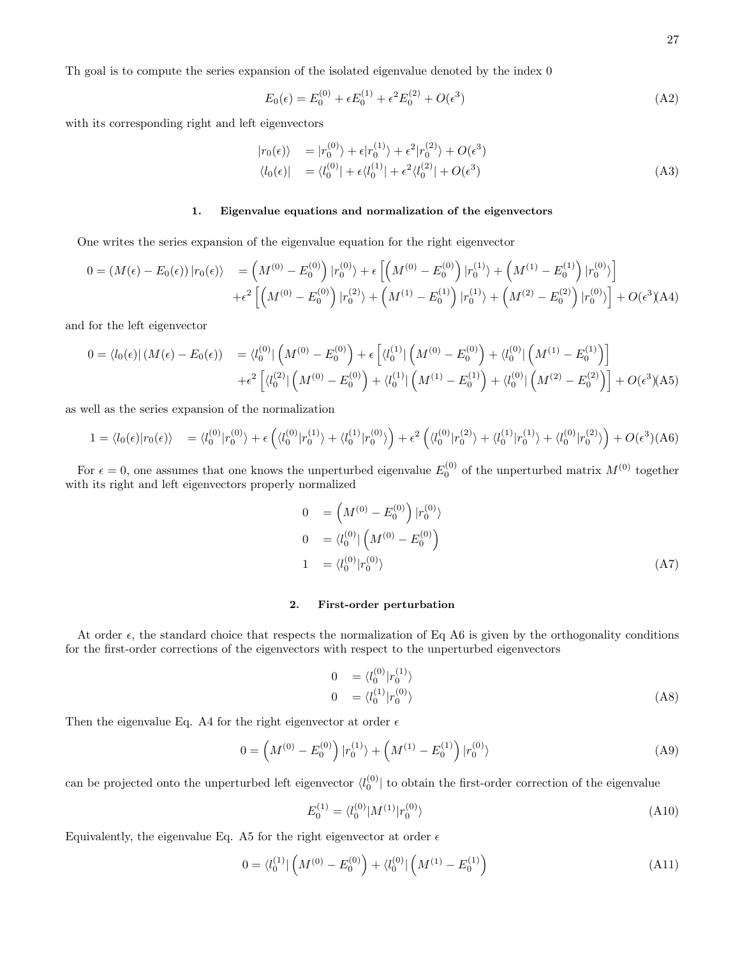Th goal is to compute the series expansion of the isolated eigenvalue denoted by the index 0

$$
E_0(\epsilon) = E_0^{(0)} + \epsilon E_0^{(1)} + \epsilon^2 E_0^{(2)} + O(\epsilon^3)
$$
\n(A2)

with its corresponding right and left eigenvectors

$$
\begin{aligned}\n|r_0(\epsilon)\rangle &= |r_0^{(0)}\rangle + \epsilon |r_0^{(1)}\rangle + \epsilon^2 |r_0^{(2)}\rangle + O(\epsilon^3) \\
\langle l_0(\epsilon)| &= \langle l_0^{(0)}| + \epsilon \langle l_0^{(1)}| + \epsilon^2 \langle l_0^{(2)}| + O(\epsilon^3)\rangle\n\end{aligned} \tag{A3}
$$

### 1. Eigenvalue equations and normalization of the eigenvectors

One writes the series expansion of the eigenvalue equation for the right eigenvector

$$
0 = (M(\epsilon) - E_0(\epsilon)) |r_0(\epsilon)\rangle = (M^{(0)} - E_0^{(0)}) |r_0^{(0)}\rangle + \epsilon \left[ (M^{(0)} - E_0^{(0)}) |r_0^{(1)}\rangle + (M^{(1)} - E_0^{(1)}) |r_0^{(0)}\rangle \right] + \epsilon^2 \left[ (M^{(0)} - E_0^{(0)}) |r_0^{(2)}\rangle + (M^{(1)} - E_0^{(1)}) |r_0^{(1)}\rangle + (M^{(2)} - E_0^{(2)}) |r_0^{(0)}\rangle \right] + O(\epsilon^3)
$$
(A4)

and for the left eigenvector

$$
0 = \langle l_0(\epsilon) | (M(\epsilon) - E_0(\epsilon)) = \langle l_0^{(0)} | \left( M^{(0)} - E_0^{(0)} \right) + \epsilon \left[ \langle l_0^{(1)} | \left( M^{(0)} - E_0^{(0)} \right) + \langle l_0^{(0)} | \left( M^{(1)} - E_0^{(1)} \right) \right] \right] + \epsilon^2 \left[ \langle l_0^{(2)} | \left( M^{(0)} - E_0^{(0)} \right) + \langle l_0^{(1)} | \left( M^{(1)} - E_0^{(1)} \right) + \langle l_0^{(0)} | \left( M^{(2)} - E_0^{(2)} \right) \right] + O(\epsilon^3)(A5)
$$

as well as the series expansion of the normalization

$$
1 = \langle l_0(\epsilon) | r_0(\epsilon) \rangle = \langle l_0^{(0)} | r_0^{(0)} \rangle + \epsilon \left( \langle l_0^{(0)} | r_0^{(1)} \rangle + \langle l_0^{(1)} | r_0^{(0)} \rangle \right) + \epsilon^2 \left( \langle l_0^{(0)} | r_0^{(2)} \rangle + \langle l_0^{(1)} | r_0^{(1)} \rangle + \langle l_0^{(0)} | r_0^{(2)} \rangle \right) + O(\epsilon^3) \text{(A6)}
$$

For  $\epsilon = 0$ , one assumes that one knows the unperturbed eigenvalue  $E_0^{(0)}$  of the unperturbed matrix  $M^{(0)}$  together with its right and left eigenvectors properly normalized

$$
0 = \left(M^{(0)} - E_0^{(0)}\right) |r_0^{(0)}\rangle
$$
  
\n
$$
0 = \langle l_0^{(0)} | \left(M^{(0)} - E_0^{(0)}\right) \rangle
$$
  
\n
$$
1 = \langle l_0^{(0)} | r_0^{(0)} \rangle
$$
  
\n(A7)

## 2. First-order perturbation

At order  $\epsilon$ , the standard choice that respects the normalization of Eq A6 is given by the orthogonality conditions for the first-order corrections of the eigenvectors with respect to the unperturbed eigenvectors

$$
0 = \langle l_0^{(0)} | r_0^{(1)} \rangle
$$
  
\n
$$
0 = \langle l_0^{(1)} | r_0^{(0)} \rangle
$$
\n
$$
(A8)
$$

Then the eigenvalue Eq. A4 for the right eigenvector at order  $\epsilon$ 

$$
0 = \left(M^{(0)} - E_0^{(0)}\right) \left| r_0^{(1)} \right\rangle + \left(M^{(1)} - E_0^{(1)}\right) \left| r_0^{(0)} \right\rangle \tag{A9}
$$

can be projected onto the unperturbed left eigenvector  $\langle l_0^{(0)}|$  to obtain the first-order correction of the eigenvalue

$$
E_0^{(1)} = \langle l_0^{(0)} | M^{(1)} | r_0^{(0)} \rangle \tag{A10}
$$

Equivalently, the eigenvalue Eq. A5 for the right eigenvector at order  $\epsilon$ 

$$
0 = \langle l_0^{(1)} | \left( M^{(0)} - E_0^{(0)} \right) + \langle l_0^{(0)} | \left( M^{(1)} - E_0^{(1)} \right) \tag{A11}
$$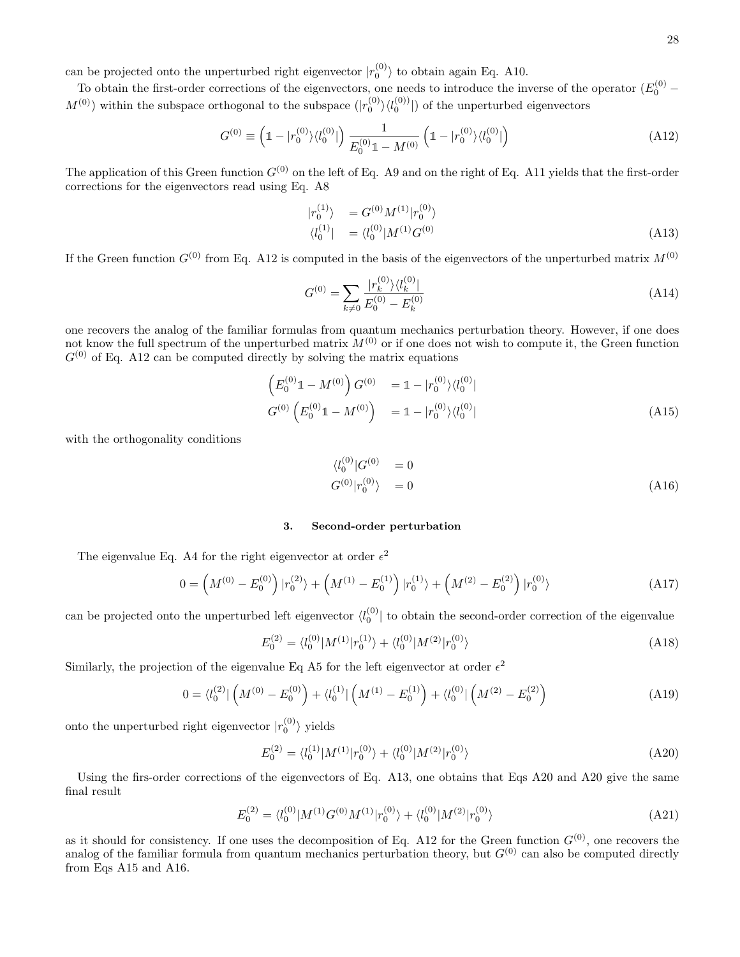can be projected onto the unperturbed right eigenvector  $|r_0^{(0)}\rangle$  to obtain again Eq. A10.

To obtain the first-order corrections of the eigenvectors, one needs to introduce the inverse of the operator  $(E_0^{(0)} M^{(0)}$ ) within the subspace orthogonal to the subspace  $(|r_0^{(0)}\rangle\langle l_0^{(0)}|)$  of the unperturbed eigenvectors

$$
G^{(0)} \equiv \left(1 - |r_0^{(0)}\rangle \langle l_0^{(0)}| \right) \frac{1}{E_0^{(0)} 1 - M^{(0)}} \left(1 - |r_0^{(0)}\rangle \langle l_0^{(0)}| \right) \tag{A12}
$$

The application of this Green function  $G^{(0)}$  on the left of Eq. A9 and on the right of Eq. A11 yields that the first-order corrections for the eigenvectors read using Eq. A8

$$
\begin{aligned}\n|r_0^{(1)}\rangle &= G^{(0)} M^{(1)} |r_0^{(0)}\rangle \\
\langle l_0^{(1)}| &= \langle l_0^{(0)} | M^{(1)} G^{(0)}\n\end{aligned} \tag{A13}
$$

If the Green function  $G^{(0)}$  from Eq. A12 is computed in the basis of the eigenvectors of the unperturbed matrix  $M^{(0)}$ 

$$
G^{(0)} = \sum_{k \neq 0} \frac{|r_k^{(0)}\rangle \langle l_k^{(0)}|}{E_0^{(0)} - E_k^{(0)}}
$$
\n(A14)

one recovers the analog of the familiar formulas from quantum mechanics perturbation theory. However, if one does not know the full spectrum of the unperturbed matrix  $M^{(0)}$  or if one does not wish to compute it, the Green function  $G^{(0)}$  of Eq. A12 can be computed directly by solving the matrix equations

$$
\begin{aligned}\n\left(E_0^{(0)}\mathbb{1} - M^{(0)}\right)G^{(0)} &= \mathbb{1} - |r_0^{(0)}\rangle\langle l_0^{(0)}| \\
G^{(0)}\left(E_0^{(0)}\mathbb{1} - M^{(0)}\right) &= \mathbb{1} - |r_0^{(0)}\rangle\langle l_0^{(0)}| \\
\end{aligned} \tag{A15}
$$

with the orthogonality conditions

$$
\langle l_0^{(0)} | G^{(0)} = 0
$$
  
\n
$$
G^{(0)} | r_0^{(0)} \rangle = 0
$$
\n(A16)

#### 3. Second-order perturbation

The eigenvalue Eq. A4 for the right eigenvector at order  $\epsilon^2$ 

$$
0 = \left(M^{(0)} - E_0^{(0)}\right)|r_0^{(2)}\rangle + \left(M^{(1)} - E_0^{(1)}\right)|r_0^{(1)}\rangle + \left(M^{(2)} - E_0^{(2)}\right)|r_0^{(0)}\rangle \tag{A17}
$$

can be projected onto the unperturbed left eigenvector  $\langle l_0^{(0)}|$  to obtain the second-order correction of the eigenvalue

$$
E_0^{(2)} = \langle l_0^{(0)} | M^{(1)} | r_0^{(1)} \rangle + \langle l_0^{(0)} | M^{(2)} | r_0^{(0)} \rangle \tag{A18}
$$

Similarly, the projection of the eigenvalue Eq A5 for the left eigenvector at order  $\epsilon^2$ 

$$
0 = \langle l_0^{(2)} | \left( M^{(0)} - E_0^{(0)} \right) + \langle l_0^{(1)} | \left( M^{(1)} - E_0^{(1)} \right) + \langle l_0^{(0)} | \left( M^{(2)} - E_0^{(2)} \right) \rangle \tag{A19}
$$

onto the unperturbed right eigenvector  $|r_0^{(0)}\rangle$  yields

$$
E_0^{(2)} = \langle l_0^{(1)} | M^{(1)} | r_0^{(0)} \rangle + \langle l_0^{(0)} | M^{(2)} | r_0^{(0)} \rangle \tag{A20}
$$

Using the firs-order corrections of the eigenvectors of Eq. A13, one obtains that Eqs A20 and A20 give the same final result

$$
E_0^{(2)} = \langle l_0^{(0)} | M^{(1)} G^{(0)} M^{(1)} | r_0^{(0)} \rangle + \langle l_0^{(0)} | M^{(2)} | r_0^{(0)} \rangle \tag{A21}
$$

as it should for consistency. If one uses the decomposition of Eq. A12 for the Green function  $G^{(0)}$ , one recovers the analog of the familiar formula from quantum mechanics perturbation theory, but  $G^{(0)}$  can also be computed directly from Eqs A15 and A16.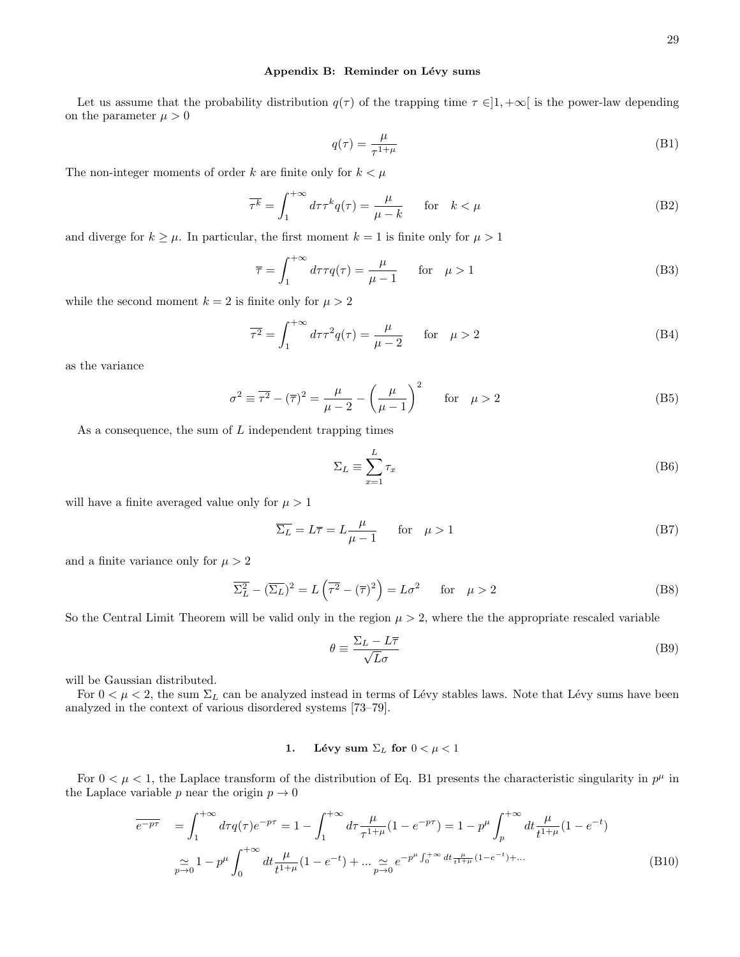Let us assume that the probability distribution  $q(\tau)$  of the trapping time  $\tau \in ]1, +\infty[$  is the power-law depending on the parameter  $\mu > 0$ 

$$
q(\tau) = \frac{\mu}{\tau^{1+\mu}}\tag{B1}
$$

The non-integer moments of order k are finite only for  $k < \mu$ 

$$
\overline{\tau^k} = \int_1^{+\infty} d\tau \tau^k q(\tau) = \frac{\mu}{\mu - k} \quad \text{for} \quad k < \mu \tag{B2}
$$

and diverge for  $k \geq \mu$ . In particular, the first moment  $k = 1$  is finite only for  $\mu > 1$ 

$$
\overline{\tau} = \int_{1}^{+\infty} d\tau \tau q(\tau) = \frac{\mu}{\mu - 1} \quad \text{for} \quad \mu > 1
$$
 (B3)

while the second moment  $k = 2$  is finite only for  $\mu > 2$ 

$$
\overline{\tau^2} = \int_1^{+\infty} d\tau \tau^2 q(\tau) = \frac{\mu}{\mu - 2} \quad \text{for} \quad \mu > 2
$$
 (B4)

as the variance

$$
\sigma^2 \equiv \overline{\tau^2} - (\overline{\tau})^2 = \frac{\mu}{\mu - 2} - \left(\frac{\mu}{\mu - 1}\right)^2 \quad \text{for} \quad \mu > 2
$$
 (B5)

As a consequence, the sum of  $L$  independent trapping times

$$
\Sigma_L \equiv \sum_{x=1}^L \tau_x \tag{B6}
$$

will have a finite averaged value only for  $\mu > 1$ 

$$
\overline{\Sigma_L} = L\overline{\tau} = L\frac{\mu}{\mu - 1} \qquad \text{for} \quad \mu > 1 \tag{B7}
$$

and a finite variance only for  $\mu > 2$ 

$$
\overline{\Sigma_L^2} - (\overline{\Sigma_L})^2 = L\left(\overline{\tau^2} - (\overline{\tau})^2\right) = L\sigma^2 \quad \text{for} \quad \mu > 2
$$
 (B8)

So the Central Limit Theorem will be valid only in the region  $\mu > 2$ , where the the appropriate rescaled variable

$$
\theta \equiv \frac{\Sigma_L - L\overline{\tau}}{\sqrt{L}\sigma} \tag{B9}
$$

will be Gaussian distributed.

For  $0 < \mu < 2$ , the sum  $\Sigma_L$  can be analyzed instead in terms of Lévy stables laws. Note that Lévy sums have been analyzed in the context of various disordered systems [73–79].

# 1. Lévy sum  $\Sigma_L$  for  $0 < \mu < 1$

For  $0 < \mu < 1$ , the Laplace transform of the distribution of Eq. B1 presents the characteristic singularity in  $p^{\mu}$  in the Laplace variable p near the origin  $p \to 0$ 

$$
\overline{e^{-p\tau}} = \int_{1}^{+\infty} d\tau q(\tau) e^{-p\tau} = 1 - \int_{1}^{+\infty} d\tau \frac{\mu}{\tau^{1+\mu}} (1 - e^{-p\tau}) = 1 - p^{\mu} \int_{p}^{+\infty} dt \frac{\mu}{t^{1+\mu}} (1 - e^{-t})
$$
  

$$
\approx 1 - p^{\mu} \int_{0}^{+\infty} dt \frac{\mu}{t^{1+\mu}} (1 - e^{-t}) + \dots \approx e^{-p^{\mu} \int_{0}^{+\infty} dt \frac{\mu}{t^{1+\mu}} (1 - e^{-t}) + \dots}
$$
(B10)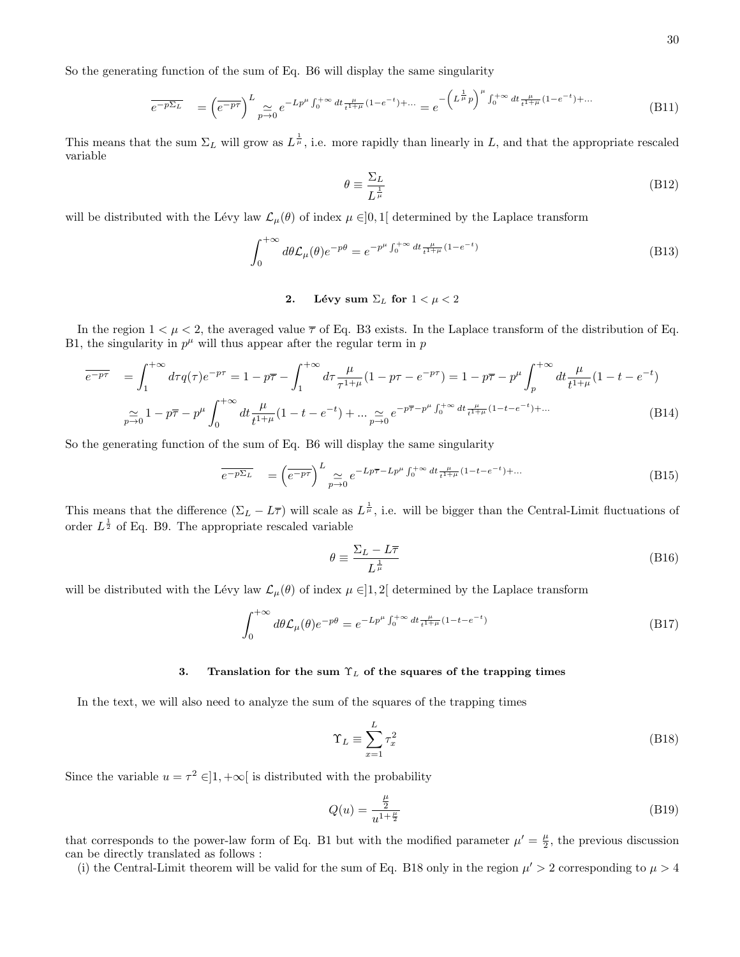So the generating function of the sum of Eq. B6 will display the same singularity

$$
\overline{e^{-p\Sigma_L}} = \left(\overline{e^{-p\tau}}\right)^L \underset{p \to 0}{\simeq} e^{-Lp^{\mu} \int_0^{+\infty} dt} \overline{t^{\mu} + \mu} (1 - e^{-t}) + \dots = e^{-\left(L^{\frac{1}{\mu}} p\right)^{\mu} \int_0^{+\infty} dt} \overline{t^{\mu} + \mu} (1 - e^{-t}) + \dots
$$
\n(B11)

This means that the sum  $\Sigma_L$  will grow as  $L^{\frac{1}{\mu}}$ , i.e. more rapidly than linearly in L, and that the appropriate rescaled variable

$$
\theta \equiv \frac{\Sigma_L}{L^{\frac{1}{\mu}}} \tag{B12}
$$

will be distributed with the Lévy law  $\mathcal{L}_{\mu}(\theta)$  of index  $\mu \in ]0,1[$  determined by the Laplace transform

$$
\int_0^{+\infty} d\theta \mathcal{L}_{\mu}(\theta) e^{-p\theta} = e^{-p^{\mu} \int_0^{+\infty} dt \frac{\mu}{t^{1+\mu}} (1 - e^{-t})}
$$
\n(B13)

2. Lévy sum  $\Sigma_L$  for  $1 < \mu < 2$ 

In the region  $1 < \mu < 2$ , the averaged value  $\overline{\tau}$  of Eq. B3 exists. In the Laplace transform of the distribution of Eq. B1, the singularity in  $p^{\mu}$  will thus appear after the regular term in p

$$
\overline{e^{-p\tau}} = \int_{1}^{+\infty} d\tau q(\tau) e^{-p\tau} = 1 - p\overline{\tau} - \int_{1}^{+\infty} d\tau \frac{\mu}{\tau^{1+\mu}} (1 - p\tau - e^{-p\tau}) = 1 - p\overline{\tau} - p^{\mu} \int_{p}^{+\infty} dt \frac{\mu}{t^{1+\mu}} (1 - t - e^{-t})
$$

$$
\approx 1 - p\overline{\tau} - p^{\mu} \int_{0}^{+\infty} dt \frac{\mu}{t^{1+\mu}} (1 - t - e^{-t}) + \dots \approx e^{-p\overline{\tau} - p^{\mu}} \int_{0}^{+\infty} dt \frac{\mu}{t^{1+\mu}} (1 - t - e^{-t}) + \dots
$$
(B14)

So the generating function of the sum of Eq. B6 will display the same singularity

$$
\overline{e^{-p\Sigma_L}} = \left(\overline{e^{-p\tau}}\right)^L \underset{p \to 0}{\simeq} e^{-Lp\overline{\tau} - Lp^{\mu}} \int_0^{+\infty} dt \frac{\mu}{t^{1+\mu}} (1 - t - e^{-t}) + \dots
$$
\n(B15)

This means that the difference  $(\Sigma_L - L\overline{\tau})$  will scale as  $L^{\frac{1}{\mu}}$ , i.e. will be bigger than the Central-Limit fluctuations of order  $L^{\frac{1}{2}}$  of Eq. B9. The appropriate rescaled variable

$$
\theta \equiv \frac{\Sigma_L - L\overline{\tau}}{L^{\frac{1}{\mu}}} \tag{B16}
$$

will be distributed with the Lévy law  $\mathcal{L}_{\mu}(\theta)$  of index  $\mu \in ]1,2[$  determined by the Laplace transform

$$
\int_0^{+\infty} d\theta \mathcal{L}_{\mu}(\theta) e^{-p\theta} = e^{-Lp^{\mu}} \int_0^{+\infty} dt \frac{\mu}{t^{1+\mu}} (1 - t - e^{-t})
$$
\n(B17)

# 3. Translation for the sum  $\Upsilon_L$  of the squares of the trapping times

In the text, we will also need to analyze the sum of the squares of the trapping times

$$
\Upsilon_L \equiv \sum_{x=1}^L \tau_x^2 \tag{B18}
$$

Since the variable  $u = \tau^2 \in ]1, +\infty[$  is distributed with the probability

$$
Q(u) = \frac{\frac{\mu}{2}}{u^{1 + \frac{\mu}{2}}} \tag{B19}
$$

that corresponds to the power-law form of Eq. B1 but with the modified parameter  $\mu' = \frac{\mu}{2}$ , the previous discussion can be directly translated as follows :

(i) the Central-Limit theorem will be valid for the sum of Eq. B18 only in the region  $\mu' > 2$  corresponding to  $\mu > 4$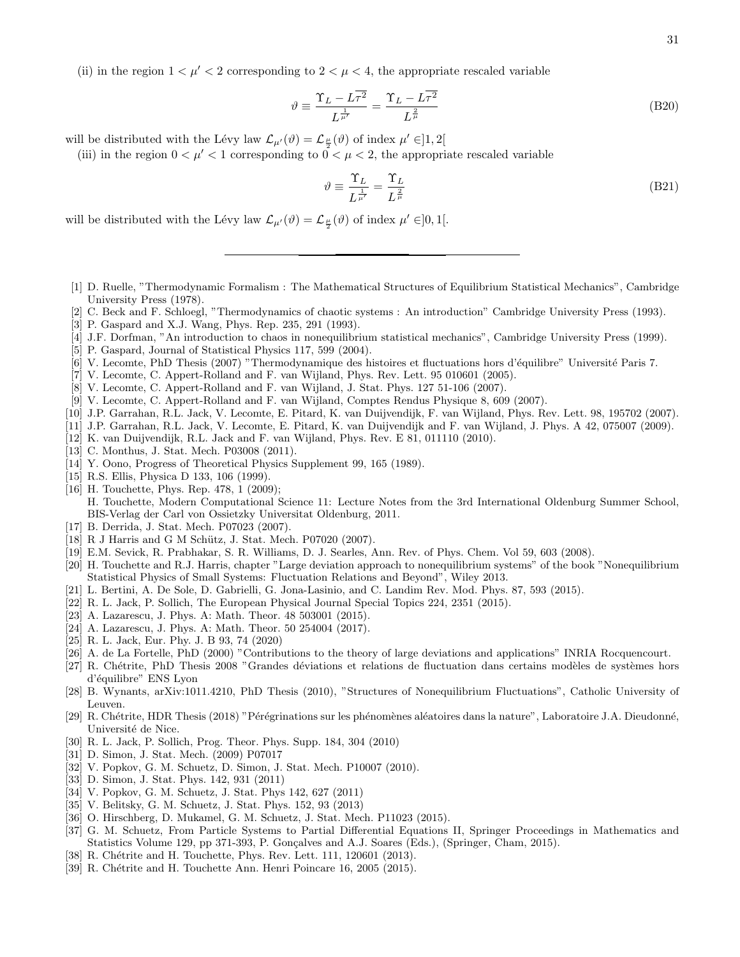(ii) in the region  $1 < \mu' < 2$  corresponding to  $2 < \mu < 4$ , the appropriate rescaled variable

$$
\vartheta \equiv \frac{\Upsilon_L - L\overline{\tau^2}}{L^{\frac{1}{\mu'}}} = \frac{\Upsilon_L - L\overline{\tau^2}}{L^{\frac{2}{\mu}}} \tag{B20}
$$

will be distributed with the Lévy law  $\mathcal{L}_{\mu'}(\vartheta) = \mathcal{L}_{\frac{\mu}{2}}(\vartheta)$  of index  $\mu' \in ]1,2[$ 

(iii) in the region  $0 < \mu' < 1$  corresponding to  $0 < \mu < 2$ , the appropriate rescaled variable

$$
\vartheta \equiv \frac{\Upsilon_L}{L^{\frac{1}{\mu'}}} = \frac{\Upsilon_L}{L^{\frac{2}{\mu}}} \tag{B21}
$$

will be distributed with the Lévy law  $\mathcal{L}_{\mu'}(\vartheta) = \mathcal{L}_{\frac{\mu}{2}}(\vartheta)$  of index  $\mu' \in ]0,1[$ .

- [1] D. Ruelle, "Thermodynamic Formalism : The Mathematical Structures of Equilibrium Statistical Mechanics", Cambridge University Press (1978).
- [2] C. Beck and F. Schloegl, "Thermodynamics of chaotic systems : An introduction" Cambridge University Press (1993).
- [3] P. Gaspard and X.J. Wang, Phys. Rep. 235, 291 (1993).
- [4] J.F. Dorfman, "An introduction to chaos in nonequilibrium statistical mechanics", Cambridge University Press (1999).
- [5] P. Gaspard, Journal of Statistical Physics 117, 599 (2004).
- [6] V. Lecomte, PhD Thesis (2007) "Thermodynamique des histoires et fluctuations hors d'´equilibre" Universit´e Paris 7.
- [7] V. Lecomte, C. Appert-Rolland and F. van Wijland, Phys. Rev. Lett. 95 010601 (2005).
- [8] V. Lecomte, C. Appert-Rolland and F. van Wijland, J. Stat. Phys. 127 51-106 (2007).
- [9] V. Lecomte, C. Appert-Rolland and F. van Wijland, Comptes Rendus Physique 8, 609 (2007).
- [10] J.P. Garrahan, R.L. Jack, V. Lecomte, E. Pitard, K. van Duijvendijk, F. van Wijland, Phys. Rev. Lett. 98, 195702 (2007).
- [11] J.P. Garrahan, R.L. Jack, V. Lecomte, E. Pitard, K. van Duijvendijk and F. van Wijland, J. Phys. A 42, 075007 (2009).
- [12] K. van Duijvendijk, R.L. Jack and F. van Wijland, Phys. Rev. E 81, 011110 (2010).
- [13] C. Monthus, J. Stat. Mech. P03008 (2011).
- [14] Y. Oono, Progress of Theoretical Physics Supplement 99, 165 (1989).
- [15] R.S. Ellis, Physica D 133, 106 (1999).
- [16] H. Touchette, Phys. Rep. 478, 1 (2009); H. Touchette, Modern Computational Science 11: Lecture Notes from the 3rd International Oldenburg Summer School, BIS-Verlag der Carl von Ossietzky Universitat Oldenburg, 2011.
- [17] B. Derrida, J. Stat. Mech. P07023 (2007).
- [18] R J Harris and G M Schütz, J. Stat. Mech. P07020 (2007).
- [19] E.M. Sevick, R. Prabhakar, S. R. Williams, D. J. Searles, Ann. Rev. of Phys. Chem. Vol 59, 603 (2008).
- [20] H. Touchette and R.J. Harris, chapter "Large deviation approach to nonequilibrium systems" of the book "Nonequilibrium Statistical Physics of Small Systems: Fluctuation Relations and Beyond", Wiley 2013.
- [21] L. Bertini, A. De Sole, D. Gabrielli, G. Jona-Lasinio, and C. Landim Rev. Mod. Phys. 87, 593 (2015).
- [22] R. L. Jack, P. Sollich, The European Physical Journal Special Topics 224, 2351 (2015).
- [23] A. Lazarescu, J. Phys. A: Math. Theor. 48 503001 (2015).
- [24] A. Lazarescu, J. Phys. A: Math. Theor. 50 254004 (2017).
- [25] R. L. Jack, Eur. Phy. J. B 93, 74 (2020)
- [26] A. de La Fortelle, PhD (2000) "Contributions to the theory of large deviations and applications" INRIA Rocquencourt.
- [27] R. Chétrite, PhD Thesis 2008 "Grandes déviations et relations de fluctuation dans certains modèles de systèmes hors d'équilibre" ENS Lyon
- [28] B. Wynants, arXiv:1011.4210, PhD Thesis (2010), "Structures of Nonequilibrium Fluctuations", Catholic University of Leuven.
- [29] R. Chétrite, HDR Thesis (2018) "Pérégrinations sur les phénomènes aléatoires dans la nature", Laboratoire J.A. Dieudonné, Université de Nice.
- [30] R. L. Jack, P. Sollich, Prog. Theor. Phys. Supp. 184, 304 (2010)
- [31] D. Simon, J. Stat. Mech. (2009) P07017
- [32] V. Popkov, G. M. Schuetz, D. Simon, J. Stat. Mech. P10007 (2010).
- [33] D. Simon, J. Stat. Phys. 142, 931 (2011)
- [34] V. Popkov, G. M. Schuetz, J. Stat. Phys 142, 627 (2011)
- [35] V. Belitsky, G. M. Schuetz, J. Stat. Phys. 152, 93 (2013)
- [36] O. Hirschberg, D. Mukamel, G. M. Schuetz, J. Stat. Mech. P11023 (2015).
- [37] G. M. Schuetz, From Particle Systems to Partial Differential Equations II, Springer Proceedings in Mathematics and Statistics Volume 129, pp 371-393, P. Gonçalves and A.J. Soares (Eds.), (Springer, Cham, 2015).
- [38] R. Chétrite and H. Touchette, Phys. Rev. Lett. 111, 120601 (2013).
- [39] R. Chétrite and H. Touchette Ann. Henri Poincare 16, 2005 (2015).